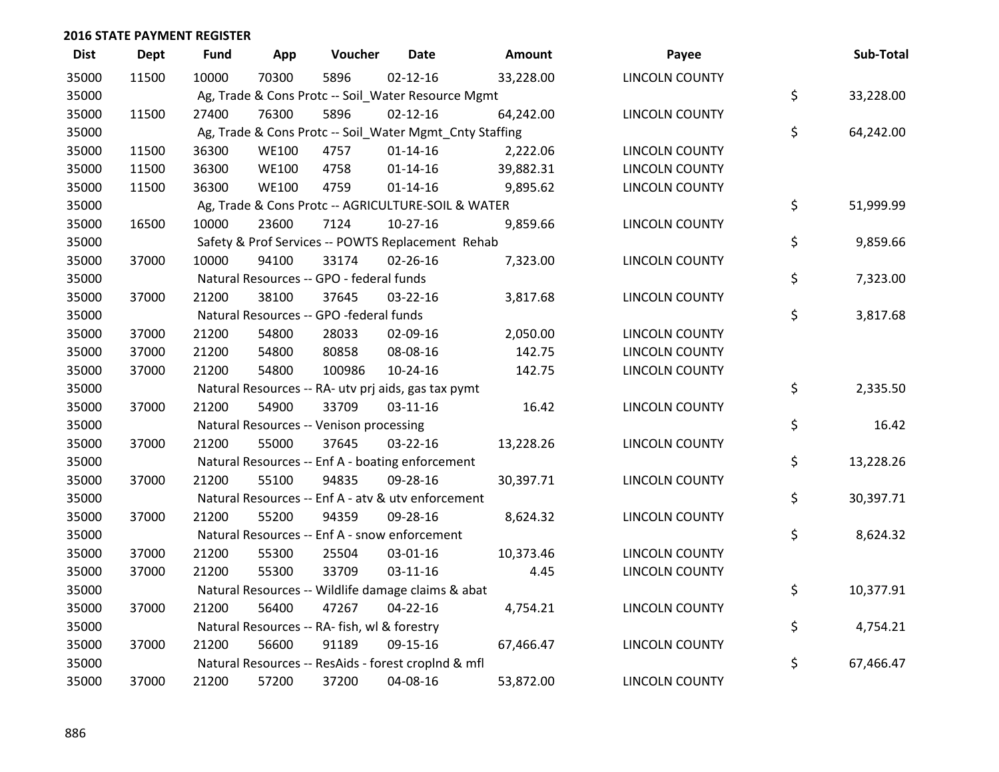| <b>Dist</b> | <b>Dept</b> | <b>Fund</b> | App          | Voucher                                                 | <b>Date</b>    | Amount    | Payee                 | Sub-Total       |
|-------------|-------------|-------------|--------------|---------------------------------------------------------|----------------|-----------|-----------------------|-----------------|
| 35000       | 11500       | 10000       | 70300        | 5896                                                    | $02 - 12 - 16$ | 33,228.00 | <b>LINCOLN COUNTY</b> |                 |
| 35000       |             |             |              | Ag, Trade & Cons Protc -- Soil_Water Resource Mgmt      |                |           |                       | \$<br>33,228.00 |
| 35000       | 11500       | 27400       | 76300        | 5896                                                    | $02 - 12 - 16$ | 64,242.00 | <b>LINCOLN COUNTY</b> |                 |
| 35000       |             |             |              | Ag, Trade & Cons Protc -- Soil_Water Mgmt_Cnty Staffing |                |           |                       | \$<br>64,242.00 |
| 35000       | 11500       | 36300       | <b>WE100</b> | 4757                                                    | $01 - 14 - 16$ | 2,222.06  | <b>LINCOLN COUNTY</b> |                 |
| 35000       | 11500       | 36300       | <b>WE100</b> | 4758                                                    | $01 - 14 - 16$ | 39,882.31 | LINCOLN COUNTY        |                 |
| 35000       | 11500       | 36300       | <b>WE100</b> | 4759                                                    | $01 - 14 - 16$ | 9,895.62  | LINCOLN COUNTY        |                 |
| 35000       |             |             |              | Ag, Trade & Cons Protc -- AGRICULTURE-SOIL & WATER      |                |           |                       | \$<br>51,999.99 |
| 35000       | 16500       | 10000       | 23600        | 7124                                                    | $10-27-16$     | 9,859.66  | <b>LINCOLN COUNTY</b> |                 |
| 35000       |             |             |              | Safety & Prof Services -- POWTS Replacement Rehab       |                |           |                       | \$<br>9,859.66  |
| 35000       | 37000       | 10000       | 94100        | 33174                                                   | 02-26-16       | 7,323.00  | LINCOLN COUNTY        |                 |
| 35000       |             |             |              | Natural Resources -- GPO - federal funds                |                |           |                       | \$<br>7,323.00  |
| 35000       | 37000       | 21200       | 38100        | 37645                                                   | 03-22-16       | 3,817.68  | LINCOLN COUNTY        |                 |
| 35000       |             |             |              | Natural Resources -- GPO -federal funds                 |                |           |                       | \$<br>3,817.68  |
| 35000       | 37000       | 21200       | 54800        | 28033                                                   | 02-09-16       | 2,050.00  | <b>LINCOLN COUNTY</b> |                 |
| 35000       | 37000       | 21200       | 54800        | 80858                                                   | 08-08-16       | 142.75    | <b>LINCOLN COUNTY</b> |                 |
| 35000       | 37000       | 21200       | 54800        | 100986                                                  | 10-24-16       | 142.75    | <b>LINCOLN COUNTY</b> |                 |
| 35000       |             |             |              | Natural Resources -- RA- utv prj aids, gas tax pymt     |                |           |                       | \$<br>2,335.50  |
| 35000       | 37000       | 21200       | 54900        | 33709                                                   | $03 - 11 - 16$ | 16.42     | <b>LINCOLN COUNTY</b> |                 |
| 35000       |             |             |              | Natural Resources -- Venison processing                 |                |           |                       | \$<br>16.42     |
| 35000       | 37000       | 21200       | 55000        | 37645                                                   | 03-22-16       | 13,228.26 | <b>LINCOLN COUNTY</b> |                 |
| 35000       |             |             |              | Natural Resources -- Enf A - boating enforcement        |                |           |                       | \$<br>13,228.26 |
| 35000       | 37000       | 21200       | 55100        | 94835                                                   | 09-28-16       | 30,397.71 | LINCOLN COUNTY        |                 |
| 35000       |             |             |              | Natural Resources -- Enf A - atv & utv enforcement      |                |           |                       | \$<br>30,397.71 |
| 35000       | 37000       | 21200       | 55200        | 94359                                                   | 09-28-16       | 8,624.32  | <b>LINCOLN COUNTY</b> |                 |
| 35000       |             |             |              | Natural Resources -- Enf A - snow enforcement           |                |           |                       | \$<br>8,624.32  |
| 35000       | 37000       | 21200       | 55300        | 25504                                                   | 03-01-16       | 10,373.46 | <b>LINCOLN COUNTY</b> |                 |
| 35000       | 37000       | 21200       | 55300        | 33709                                                   | $03 - 11 - 16$ | 4.45      | <b>LINCOLN COUNTY</b> |                 |
| 35000       |             |             |              | Natural Resources -- Wildlife damage claims & abat      |                |           |                       | \$<br>10,377.91 |
| 35000       | 37000       | 21200       | 56400        | 47267                                                   | $04 - 22 - 16$ | 4,754.21  | <b>LINCOLN COUNTY</b> |                 |
| 35000       |             |             |              | Natural Resources -- RA- fish, wl & forestry            |                |           |                       | \$<br>4,754.21  |
| 35000       | 37000       | 21200       | 56600        | 91189                                                   | 09-15-16       | 67,466.47 | <b>LINCOLN COUNTY</b> |                 |
| 35000       |             |             |              | Natural Resources -- ResAids - forest croplnd & mfl     |                |           |                       | \$<br>67,466.47 |
| 35000       | 37000       | 21200       | 57200        | 37200                                                   | 04-08-16       | 53,872.00 | <b>LINCOLN COUNTY</b> |                 |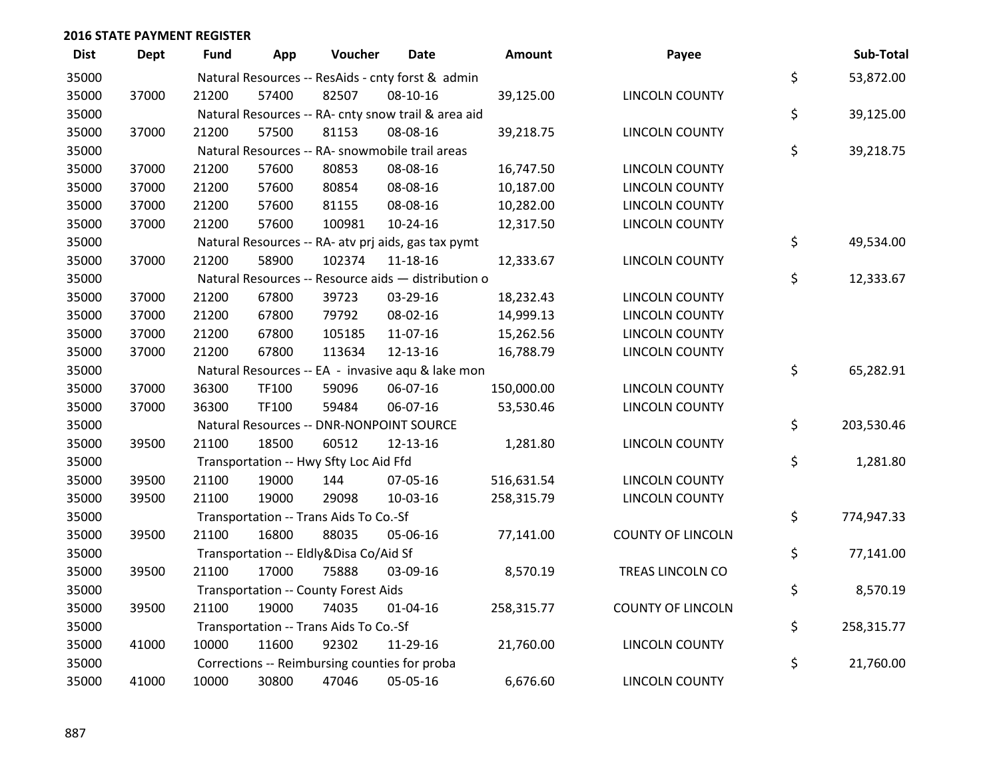| <b>Dist</b> | <b>Dept</b> | <b>Fund</b> | App   | Voucher                                | <b>Date</b>                                         | Amount     | Payee                    | Sub-Total        |
|-------------|-------------|-------------|-------|----------------------------------------|-----------------------------------------------------|------------|--------------------------|------------------|
| 35000       |             |             |       |                                        | Natural Resources -- ResAids - cnty forst & admin   |            |                          | \$<br>53,872.00  |
| 35000       | 37000       | 21200       | 57400 | 82507                                  | 08-10-16                                            | 39,125.00  | LINCOLN COUNTY           |                  |
| 35000       |             |             |       |                                        | Natural Resources -- RA- cnty snow trail & area aid |            |                          | \$<br>39,125.00  |
| 35000       | 37000       | 21200       | 57500 | 81153                                  | 08-08-16                                            | 39,218.75  | LINCOLN COUNTY           |                  |
| 35000       |             |             |       |                                        | Natural Resources -- RA- snowmobile trail areas     |            |                          | \$<br>39,218.75  |
| 35000       | 37000       | 21200       | 57600 | 80853                                  | 08-08-16                                            | 16,747.50  | LINCOLN COUNTY           |                  |
| 35000       | 37000       | 21200       | 57600 | 80854                                  | 08-08-16                                            | 10,187.00  | LINCOLN COUNTY           |                  |
| 35000       | 37000       | 21200       | 57600 | 81155                                  | 08-08-16                                            | 10,282.00  | LINCOLN COUNTY           |                  |
| 35000       | 37000       | 21200       | 57600 | 100981                                 | 10-24-16                                            | 12,317.50  | LINCOLN COUNTY           |                  |
| 35000       |             |             |       |                                        | Natural Resources -- RA- atv prj aids, gas tax pymt |            |                          | \$<br>49,534.00  |
| 35000       | 37000       | 21200       | 58900 | 102374                                 | 11-18-16                                            | 12,333.67  | LINCOLN COUNTY           |                  |
| 35000       |             |             |       |                                        | Natural Resources -- Resource aids - distribution o |            |                          | \$<br>12,333.67  |
| 35000       | 37000       | 21200       | 67800 | 39723                                  | 03-29-16                                            | 18,232.43  | LINCOLN COUNTY           |                  |
| 35000       | 37000       | 21200       | 67800 | 79792                                  | 08-02-16                                            | 14,999.13  | <b>LINCOLN COUNTY</b>    |                  |
| 35000       | 37000       | 21200       | 67800 | 105185                                 | 11-07-16                                            | 15,262.56  | <b>LINCOLN COUNTY</b>    |                  |
| 35000       | 37000       | 21200       | 67800 | 113634                                 | 12-13-16                                            | 16,788.79  | LINCOLN COUNTY           |                  |
| 35000       |             |             |       |                                        | Natural Resources -- EA - invasive aqu & lake mon   |            |                          | \$<br>65,282.91  |
| 35000       | 37000       | 36300       | TF100 | 59096                                  | 06-07-16                                            | 150,000.00 | LINCOLN COUNTY           |                  |
| 35000       | 37000       | 36300       | TF100 | 59484                                  | 06-07-16                                            | 53,530.46  | LINCOLN COUNTY           |                  |
| 35000       |             |             |       |                                        | Natural Resources -- DNR-NONPOINT SOURCE            |            |                          | \$<br>203,530.46 |
| 35000       | 39500       | 21100       | 18500 | 60512                                  | 12-13-16                                            | 1,281.80   | LINCOLN COUNTY           |                  |
| 35000       |             |             |       | Transportation -- Hwy Sfty Loc Aid Ffd |                                                     |            |                          | \$<br>1,281.80   |
| 35000       | 39500       | 21100       | 19000 | 144                                    | 07-05-16                                            | 516,631.54 | LINCOLN COUNTY           |                  |
| 35000       | 39500       | 21100       | 19000 | 29098                                  | 10-03-16                                            | 258,315.79 | LINCOLN COUNTY           |                  |
| 35000       |             |             |       | Transportation -- Trans Aids To Co.-Sf |                                                     |            |                          | \$<br>774,947.33 |
| 35000       | 39500       | 21100       | 16800 | 88035                                  | 05-06-16                                            | 77,141.00  | <b>COUNTY OF LINCOLN</b> |                  |
| 35000       |             |             |       | Transportation -- Eldly&Disa Co/Aid Sf |                                                     |            |                          | \$<br>77,141.00  |
| 35000       | 39500       | 21100       | 17000 | 75888                                  | 03-09-16                                            | 8,570.19   | TREAS LINCOLN CO         |                  |
| 35000       |             |             |       | Transportation -- County Forest Aids   |                                                     |            |                          | \$<br>8,570.19   |
| 35000       | 39500       | 21100       | 19000 | 74035                                  | $01 - 04 - 16$                                      | 258,315.77 | <b>COUNTY OF LINCOLN</b> |                  |
| 35000       |             |             |       | Transportation -- Trans Aids To Co.-Sf |                                                     |            |                          | \$<br>258,315.77 |
| 35000       | 41000       | 10000       | 11600 | 92302                                  | 11-29-16                                            | 21,760.00  | <b>LINCOLN COUNTY</b>    |                  |
| 35000       |             |             |       |                                        | Corrections -- Reimbursing counties for proba       |            |                          | \$<br>21,760.00  |
| 35000       | 41000       | 10000       | 30800 | 47046                                  | 05-05-16                                            | 6,676.60   | <b>LINCOLN COUNTY</b>    |                  |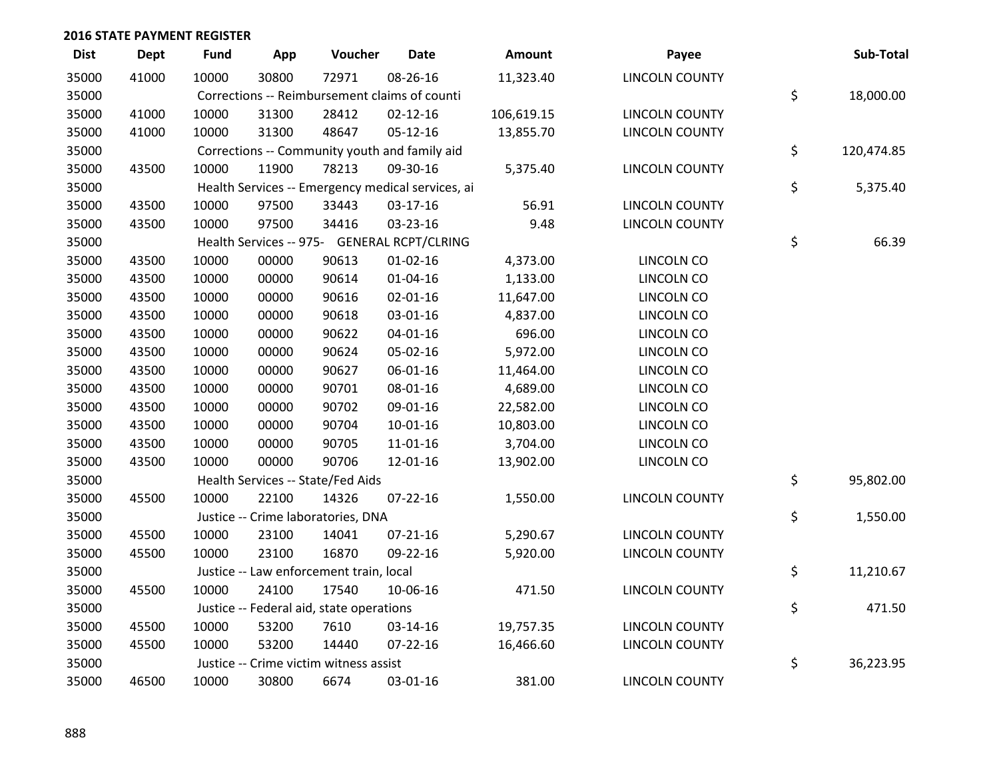| <b>Dist</b> | <b>Dept</b> | <b>Fund</b> | App   | Voucher                                  | <b>Date</b>                                       | <b>Amount</b> | Payee                 | Sub-Total        |
|-------------|-------------|-------------|-------|------------------------------------------|---------------------------------------------------|---------------|-----------------------|------------------|
| 35000       | 41000       | 10000       | 30800 | 72971                                    | 08-26-16                                          | 11,323.40     | <b>LINCOLN COUNTY</b> |                  |
| 35000       |             |             |       |                                          | Corrections -- Reimbursement claims of counti     |               |                       | \$<br>18,000.00  |
| 35000       | 41000       | 10000       | 31300 | 28412                                    | $02 - 12 - 16$                                    | 106,619.15    | <b>LINCOLN COUNTY</b> |                  |
| 35000       | 41000       | 10000       | 31300 | 48647                                    | $05 - 12 - 16$                                    | 13,855.70     | <b>LINCOLN COUNTY</b> |                  |
| 35000       |             |             |       |                                          | Corrections -- Community youth and family aid     |               |                       | \$<br>120,474.85 |
| 35000       | 43500       | 10000       | 11900 | 78213                                    | 09-30-16                                          | 5,375.40      | <b>LINCOLN COUNTY</b> |                  |
| 35000       |             |             |       |                                          | Health Services -- Emergency medical services, ai |               |                       | \$<br>5,375.40   |
| 35000       | 43500       | 10000       | 97500 | 33443                                    | 03-17-16                                          | 56.91         | <b>LINCOLN COUNTY</b> |                  |
| 35000       | 43500       | 10000       | 97500 | 34416                                    | 03-23-16                                          | 9.48          | <b>LINCOLN COUNTY</b> |                  |
| 35000       |             |             |       |                                          | Health Services -- 975- GENERAL RCPT/CLRING       |               |                       | \$<br>66.39      |
| 35000       | 43500       | 10000       | 00000 | 90613                                    | $01 - 02 - 16$                                    | 4,373.00      | LINCOLN CO            |                  |
| 35000       | 43500       | 10000       | 00000 | 90614                                    | $01 - 04 - 16$                                    | 1,133.00      | LINCOLN CO            |                  |
| 35000       | 43500       | 10000       | 00000 | 90616                                    | $02 - 01 - 16$                                    | 11,647.00     | LINCOLN CO            |                  |
| 35000       | 43500       | 10000       | 00000 | 90618                                    | 03-01-16                                          | 4,837.00      | LINCOLN CO            |                  |
| 35000       | 43500       | 10000       | 00000 | 90622                                    | $04 - 01 - 16$                                    | 696.00        | LINCOLN CO            |                  |
| 35000       | 43500       | 10000       | 00000 | 90624                                    | 05-02-16                                          | 5,972.00      | LINCOLN CO            |                  |
| 35000       | 43500       | 10000       | 00000 | 90627                                    | 06-01-16                                          | 11,464.00     | LINCOLN CO            |                  |
| 35000       | 43500       | 10000       | 00000 | 90701                                    | 08-01-16                                          | 4,689.00      | LINCOLN CO            |                  |
| 35000       | 43500       | 10000       | 00000 | 90702                                    | 09-01-16                                          | 22,582.00     | LINCOLN CO            |                  |
| 35000       | 43500       | 10000       | 00000 | 90704                                    | $10-01-16$                                        | 10,803.00     | LINCOLN CO            |                  |
| 35000       | 43500       | 10000       | 00000 | 90705                                    | $11 - 01 - 16$                                    | 3,704.00      | LINCOLN CO            |                  |
| 35000       | 43500       | 10000       | 00000 | 90706                                    | 12-01-16                                          | 13,902.00     | LINCOLN CO            |                  |
| 35000       |             |             |       | Health Services -- State/Fed Aids        |                                                   |               |                       | \$<br>95,802.00  |
| 35000       | 45500       | 10000       | 22100 | 14326                                    | $07 - 22 - 16$                                    | 1,550.00      | <b>LINCOLN COUNTY</b> |                  |
| 35000       |             |             |       | Justice -- Crime laboratories, DNA       |                                                   |               |                       | \$<br>1,550.00   |
| 35000       | 45500       | 10000       | 23100 | 14041                                    | $07 - 21 - 16$                                    | 5,290.67      | <b>LINCOLN COUNTY</b> |                  |
| 35000       | 45500       | 10000       | 23100 | 16870                                    | 09-22-16                                          | 5,920.00      | <b>LINCOLN COUNTY</b> |                  |
| 35000       |             |             |       | Justice -- Law enforcement train, local  |                                                   |               |                       | \$<br>11,210.67  |
| 35000       | 45500       | 10000       | 24100 | 17540                                    | 10-06-16                                          | 471.50        | <b>LINCOLN COUNTY</b> |                  |
| 35000       |             |             |       | Justice -- Federal aid, state operations |                                                   |               |                       | \$<br>471.50     |
| 35000       | 45500       | 10000       | 53200 | 7610                                     | 03-14-16                                          | 19,757.35     | <b>LINCOLN COUNTY</b> |                  |
| 35000       | 45500       | 10000       | 53200 | 14440                                    | $07 - 22 - 16$                                    | 16,466.60     | <b>LINCOLN COUNTY</b> |                  |
| 35000       |             |             |       | Justice -- Crime victim witness assist   |                                                   |               |                       | \$<br>36,223.95  |
| 35000       | 46500       | 10000       | 30800 | 6674                                     | 03-01-16                                          | 381.00        | <b>LINCOLN COUNTY</b> |                  |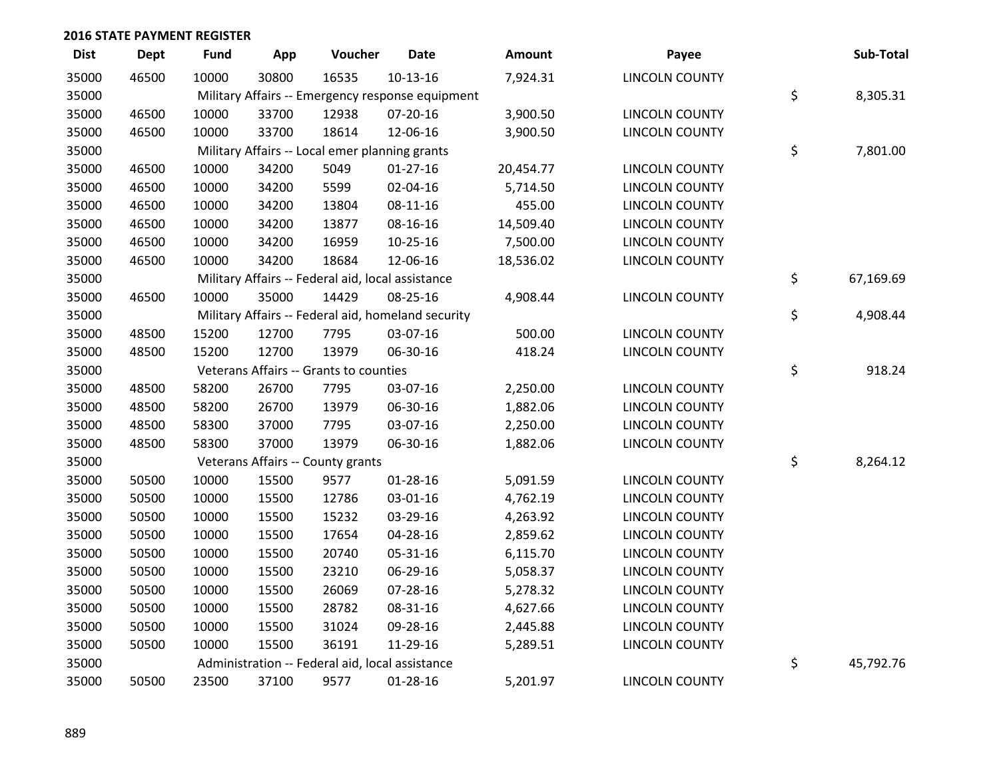| <b>Dist</b> | <b>Dept</b> | <b>Fund</b> | App   | Voucher                                           | <b>Date</b>                                        | Amount    | Payee                 | Sub-Total       |
|-------------|-------------|-------------|-------|---------------------------------------------------|----------------------------------------------------|-----------|-----------------------|-----------------|
| 35000       | 46500       | 10000       | 30800 | 16535                                             | $10-13-16$                                         | 7,924.31  | <b>LINCOLN COUNTY</b> |                 |
| 35000       |             |             |       |                                                   | Military Affairs -- Emergency response equipment   |           |                       | \$<br>8,305.31  |
| 35000       | 46500       | 10000       | 33700 | 12938                                             | 07-20-16                                           | 3,900.50  | LINCOLN COUNTY        |                 |
| 35000       | 46500       | 10000       | 33700 | 18614                                             | 12-06-16                                           | 3,900.50  | <b>LINCOLN COUNTY</b> |                 |
| 35000       |             |             |       | Military Affairs -- Local emer planning grants    |                                                    |           |                       | \$<br>7,801.00  |
| 35000       | 46500       | 10000       | 34200 | 5049                                              | $01 - 27 - 16$                                     | 20,454.77 | <b>LINCOLN COUNTY</b> |                 |
| 35000       | 46500       | 10000       | 34200 | 5599                                              | 02-04-16                                           | 5,714.50  | <b>LINCOLN COUNTY</b> |                 |
| 35000       | 46500       | 10000       | 34200 | 13804                                             | 08-11-16                                           | 455.00    | <b>LINCOLN COUNTY</b> |                 |
| 35000       | 46500       | 10000       | 34200 | 13877                                             | 08-16-16                                           | 14,509.40 | <b>LINCOLN COUNTY</b> |                 |
| 35000       | 46500       | 10000       | 34200 | 16959                                             | 10-25-16                                           | 7,500.00  | <b>LINCOLN COUNTY</b> |                 |
| 35000       | 46500       | 10000       | 34200 | 18684                                             | 12-06-16                                           | 18,536.02 | <b>LINCOLN COUNTY</b> |                 |
| 35000       |             |             |       | Military Affairs -- Federal aid, local assistance |                                                    |           |                       | \$<br>67,169.69 |
| 35000       | 46500       | 10000       | 35000 | 14429                                             | 08-25-16                                           | 4,908.44  | <b>LINCOLN COUNTY</b> |                 |
| 35000       |             |             |       |                                                   | Military Affairs -- Federal aid, homeland security |           |                       | \$<br>4,908.44  |
| 35000       | 48500       | 15200       | 12700 | 7795                                              | 03-07-16                                           | 500.00    | <b>LINCOLN COUNTY</b> |                 |
| 35000       | 48500       | 15200       | 12700 | 13979                                             | 06-30-16                                           | 418.24    | <b>LINCOLN COUNTY</b> |                 |
| 35000       |             |             |       | Veterans Affairs -- Grants to counties            |                                                    |           |                       | \$<br>918.24    |
| 35000       | 48500       | 58200       | 26700 | 7795                                              | 03-07-16                                           | 2,250.00  | <b>LINCOLN COUNTY</b> |                 |
| 35000       | 48500       | 58200       | 26700 | 13979                                             | 06-30-16                                           | 1,882.06  | <b>LINCOLN COUNTY</b> |                 |
| 35000       | 48500       | 58300       | 37000 | 7795                                              | 03-07-16                                           | 2,250.00  | LINCOLN COUNTY        |                 |
| 35000       | 48500       | 58300       | 37000 | 13979                                             | 06-30-16                                           | 1,882.06  | <b>LINCOLN COUNTY</b> |                 |
| 35000       |             |             |       | Veterans Affairs -- County grants                 |                                                    |           |                       | \$<br>8,264.12  |
| 35000       | 50500       | 10000       | 15500 | 9577                                              | $01 - 28 - 16$                                     | 5,091.59  | <b>LINCOLN COUNTY</b> |                 |
| 35000       | 50500       | 10000       | 15500 | 12786                                             | 03-01-16                                           | 4,762.19  | <b>LINCOLN COUNTY</b> |                 |
| 35000       | 50500       | 10000       | 15500 | 15232                                             | 03-29-16                                           | 4,263.92  | <b>LINCOLN COUNTY</b> |                 |
| 35000       | 50500       | 10000       | 15500 | 17654                                             | 04-28-16                                           | 2,859.62  | <b>LINCOLN COUNTY</b> |                 |
| 35000       | 50500       | 10000       | 15500 | 20740                                             | 05-31-16                                           | 6,115.70  | <b>LINCOLN COUNTY</b> |                 |
| 35000       | 50500       | 10000       | 15500 | 23210                                             | 06-29-16                                           | 5,058.37  | LINCOLN COUNTY        |                 |
| 35000       | 50500       | 10000       | 15500 | 26069                                             | 07-28-16                                           | 5,278.32  | <b>LINCOLN COUNTY</b> |                 |
| 35000       | 50500       | 10000       | 15500 | 28782                                             | 08-31-16                                           | 4,627.66  | <b>LINCOLN COUNTY</b> |                 |
| 35000       | 50500       | 10000       | 15500 | 31024                                             | 09-28-16                                           | 2,445.88  | <b>LINCOLN COUNTY</b> |                 |
| 35000       | 50500       | 10000       | 15500 | 36191                                             | 11-29-16                                           | 5,289.51  | <b>LINCOLN COUNTY</b> |                 |
| 35000       |             |             |       | Administration -- Federal aid, local assistance   |                                                    |           |                       | \$<br>45,792.76 |
| 35000       | 50500       | 23500       | 37100 | 9577                                              | 01-28-16                                           | 5,201.97  | <b>LINCOLN COUNTY</b> |                 |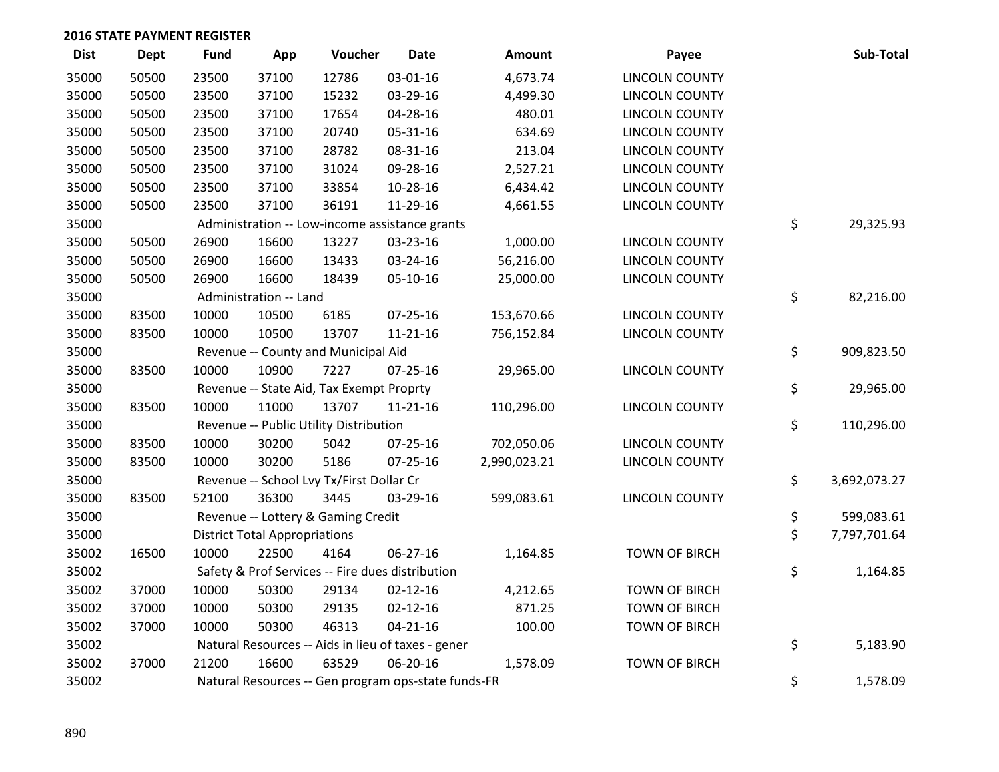| <b>Dist</b> | <b>Dept</b> | <b>Fund</b> | App                                  | Voucher                                  | <b>Date</b>                                         | <b>Amount</b> | Payee                 | Sub-Total          |
|-------------|-------------|-------------|--------------------------------------|------------------------------------------|-----------------------------------------------------|---------------|-----------------------|--------------------|
| 35000       | 50500       | 23500       | 37100                                | 12786                                    | 03-01-16                                            | 4,673.74      | <b>LINCOLN COUNTY</b> |                    |
| 35000       | 50500       | 23500       | 37100                                | 15232                                    | 03-29-16                                            | 4,499.30      | <b>LINCOLN COUNTY</b> |                    |
| 35000       | 50500       | 23500       | 37100                                | 17654                                    | 04-28-16                                            | 480.01        | <b>LINCOLN COUNTY</b> |                    |
| 35000       | 50500       | 23500       | 37100                                | 20740                                    | 05-31-16                                            | 634.69        | <b>LINCOLN COUNTY</b> |                    |
| 35000       | 50500       | 23500       | 37100                                | 28782                                    | 08-31-16                                            | 213.04        | <b>LINCOLN COUNTY</b> |                    |
| 35000       | 50500       | 23500       | 37100                                | 31024                                    | 09-28-16                                            | 2,527.21      | <b>LINCOLN COUNTY</b> |                    |
| 35000       | 50500       | 23500       | 37100                                | 33854                                    | 10-28-16                                            | 6,434.42      | <b>LINCOLN COUNTY</b> |                    |
| 35000       | 50500       | 23500       | 37100                                | 36191                                    | 11-29-16                                            | 4,661.55      | <b>LINCOLN COUNTY</b> |                    |
| 35000       |             |             |                                      |                                          | Administration -- Low-income assistance grants      |               |                       | \$<br>29,325.93    |
| 35000       | 50500       | 26900       | 16600                                | 13227                                    | 03-23-16                                            | 1,000.00      | <b>LINCOLN COUNTY</b> |                    |
| 35000       | 50500       | 26900       | 16600                                | 13433                                    | 03-24-16                                            | 56,216.00     | <b>LINCOLN COUNTY</b> |                    |
| 35000       | 50500       | 26900       | 16600                                | 18439                                    | $05-10-16$                                          | 25,000.00     | <b>LINCOLN COUNTY</b> |                    |
| 35000       |             |             | Administration -- Land               |                                          |                                                     |               |                       | \$<br>82,216.00    |
| 35000       | 83500       | 10000       | 10500                                | 6185                                     | 07-25-16                                            | 153,670.66    | <b>LINCOLN COUNTY</b> |                    |
| 35000       | 83500       | 10000       | 10500                                | 13707                                    | $11 - 21 - 16$                                      | 756,152.84    | <b>LINCOLN COUNTY</b> |                    |
| 35000       |             |             |                                      | Revenue -- County and Municipal Aid      |                                                     |               |                       | \$<br>909,823.50   |
| 35000       | 83500       | 10000       | 10900                                | 7227                                     | $07 - 25 - 16$                                      | 29,965.00     | LINCOLN COUNTY        |                    |
| 35000       |             |             |                                      | Revenue -- State Aid, Tax Exempt Proprty |                                                     |               |                       | \$<br>29,965.00    |
| 35000       | 83500       | 10000       | 11000                                | 13707                                    | $11 - 21 - 16$                                      | 110,296.00    | <b>LINCOLN COUNTY</b> |                    |
| 35000       |             |             |                                      | Revenue -- Public Utility Distribution   |                                                     |               |                       | \$<br>110,296.00   |
| 35000       | 83500       | 10000       | 30200                                | 5042                                     | $07 - 25 - 16$                                      | 702,050.06    | <b>LINCOLN COUNTY</b> |                    |
| 35000       | 83500       | 10000       | 30200                                | 5186                                     | $07 - 25 - 16$                                      | 2,990,023.21  | <b>LINCOLN COUNTY</b> |                    |
| 35000       |             |             |                                      | Revenue -- School Lvy Tx/First Dollar Cr |                                                     |               |                       | \$<br>3,692,073.27 |
| 35000       | 83500       | 52100       | 36300                                | 3445                                     | 03-29-16                                            | 599,083.61    | <b>LINCOLN COUNTY</b> |                    |
| 35000       |             |             |                                      | Revenue -- Lottery & Gaming Credit       |                                                     |               |                       | \$<br>599,083.61   |
| 35000       |             |             | <b>District Total Appropriations</b> |                                          |                                                     |               |                       | \$<br>7,797,701.64 |
| 35002       | 16500       | 10000       | 22500                                | 4164                                     | 06-27-16                                            | 1,164.85      | <b>TOWN OF BIRCH</b>  |                    |
| 35002       |             |             |                                      |                                          | Safety & Prof Services -- Fire dues distribution    |               |                       | \$<br>1,164.85     |
| 35002       | 37000       | 10000       | 50300                                | 29134                                    | $02 - 12 - 16$                                      | 4,212.65      | <b>TOWN OF BIRCH</b>  |                    |
| 35002       | 37000       | 10000       | 50300                                | 29135                                    | $02 - 12 - 16$                                      | 871.25        | <b>TOWN OF BIRCH</b>  |                    |
| 35002       | 37000       | 10000       | 50300                                | 46313                                    | $04 - 21 - 16$                                      | 100.00        | <b>TOWN OF BIRCH</b>  |                    |
| 35002       |             |             |                                      |                                          | Natural Resources -- Aids in lieu of taxes - gener  |               |                       | \$<br>5,183.90     |
| 35002       | 37000       | 21200       | 16600                                | 63529                                    | 06-20-16                                            | 1,578.09      | <b>TOWN OF BIRCH</b>  |                    |
| 35002       |             |             |                                      |                                          | Natural Resources -- Gen program ops-state funds-FR |               |                       | \$<br>1,578.09     |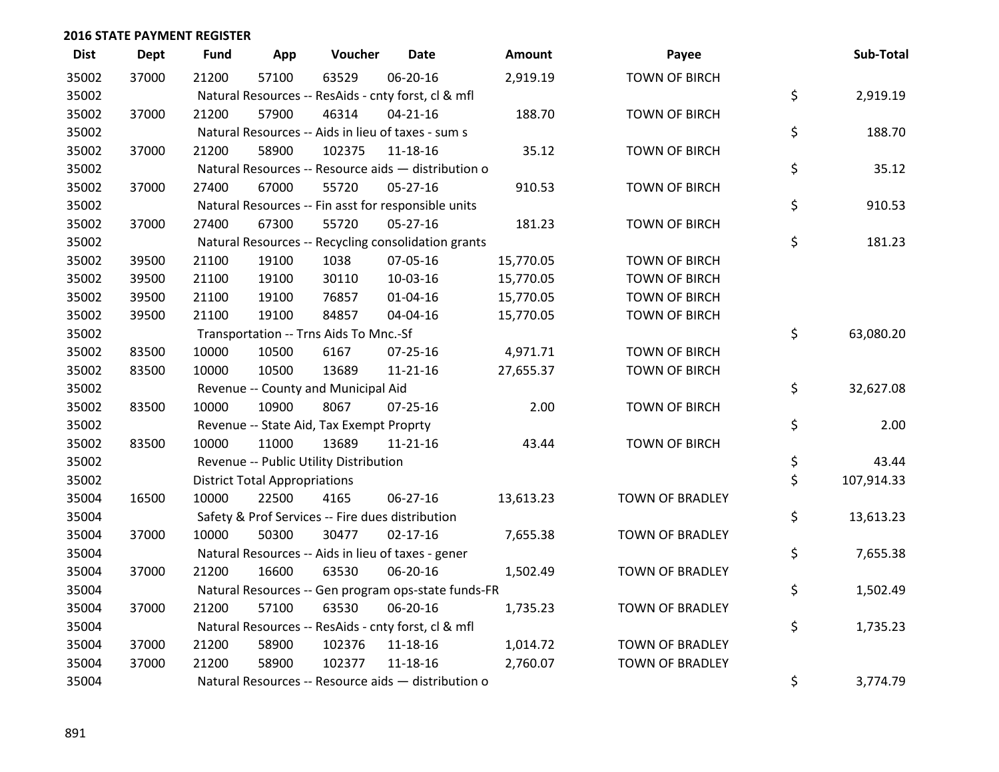| <b>Dist</b> | <b>Dept</b> | <b>Fund</b> | App                                  | Voucher                                  | <b>Date</b>                                         | <b>Amount</b> | Payee                  | Sub-Total        |
|-------------|-------------|-------------|--------------------------------------|------------------------------------------|-----------------------------------------------------|---------------|------------------------|------------------|
| 35002       | 37000       | 21200       | 57100                                | 63529                                    | 06-20-16                                            | 2,919.19      | <b>TOWN OF BIRCH</b>   |                  |
| 35002       |             |             |                                      |                                          | Natural Resources -- ResAids - cnty forst, cl & mfl |               |                        | \$<br>2,919.19   |
| 35002       | 37000       | 21200       | 57900                                | 46314                                    | $04 - 21 - 16$                                      | 188.70        | <b>TOWN OF BIRCH</b>   |                  |
| 35002       |             |             |                                      |                                          | Natural Resources -- Aids in lieu of taxes - sum s  |               |                        | \$<br>188.70     |
| 35002       | 37000       | 21200       | 58900                                | 102375                                   | 11-18-16                                            | 35.12         | <b>TOWN OF BIRCH</b>   |                  |
| 35002       |             |             |                                      |                                          | Natural Resources -- Resource aids - distribution o |               |                        | \$<br>35.12      |
| 35002       | 37000       | 27400       | 67000                                | 55720                                    | 05-27-16                                            | 910.53        | <b>TOWN OF BIRCH</b>   |                  |
| 35002       |             |             |                                      |                                          | Natural Resources -- Fin asst for responsible units |               |                        | \$<br>910.53     |
| 35002       | 37000       | 27400       | 67300                                | 55720                                    | 05-27-16                                            | 181.23        | <b>TOWN OF BIRCH</b>   |                  |
| 35002       |             |             |                                      |                                          | Natural Resources -- Recycling consolidation grants |               |                        | \$<br>181.23     |
| 35002       | 39500       | 21100       | 19100                                | 1038                                     | 07-05-16                                            | 15,770.05     | <b>TOWN OF BIRCH</b>   |                  |
| 35002       | 39500       | 21100       | 19100                                | 30110                                    | 10-03-16                                            | 15,770.05     | <b>TOWN OF BIRCH</b>   |                  |
| 35002       | 39500       | 21100       | 19100                                | 76857                                    | $01 - 04 - 16$                                      | 15,770.05     | <b>TOWN OF BIRCH</b>   |                  |
| 35002       | 39500       | 21100       | 19100                                | 84857                                    | 04-04-16                                            | 15,770.05     | <b>TOWN OF BIRCH</b>   |                  |
| 35002       |             |             |                                      | Transportation -- Trns Aids To Mnc.-Sf   |                                                     |               |                        | \$<br>63,080.20  |
| 35002       | 83500       | 10000       | 10500                                | 6167                                     | 07-25-16                                            | 4,971.71      | <b>TOWN OF BIRCH</b>   |                  |
| 35002       | 83500       | 10000       | 10500                                | 13689                                    | 11-21-16                                            | 27,655.37     | <b>TOWN OF BIRCH</b>   |                  |
| 35002       |             |             |                                      | Revenue -- County and Municipal Aid      |                                                     |               |                        | \$<br>32,627.08  |
| 35002       | 83500       | 10000       | 10900                                | 8067                                     | $07 - 25 - 16$                                      | 2.00          | <b>TOWN OF BIRCH</b>   |                  |
| 35002       |             |             |                                      | Revenue -- State Aid, Tax Exempt Proprty |                                                     |               |                        | \$<br>2.00       |
| 35002       | 83500       | 10000       | 11000                                | 13689                                    | $11 - 21 - 16$                                      | 43.44         | <b>TOWN OF BIRCH</b>   |                  |
| 35002       |             |             |                                      | Revenue -- Public Utility Distribution   |                                                     |               |                        | \$<br>43.44      |
| 35002       |             |             | <b>District Total Appropriations</b> |                                          |                                                     |               |                        | \$<br>107,914.33 |
| 35004       | 16500       | 10000       | 22500                                | 4165                                     | 06-27-16                                            | 13,613.23     | <b>TOWN OF BRADLEY</b> |                  |
| 35004       |             |             |                                      |                                          | Safety & Prof Services -- Fire dues distribution    |               |                        | \$<br>13,613.23  |
| 35004       | 37000       | 10000       | 50300                                | 30477                                    | $02 - 17 - 16$                                      | 7,655.38      | TOWN OF BRADLEY        |                  |
| 35004       |             |             |                                      |                                          | Natural Resources -- Aids in lieu of taxes - gener  |               |                        | \$<br>7,655.38   |
| 35004       | 37000       | 21200       | 16600                                | 63530                                    | 06-20-16                                            | 1,502.49      | <b>TOWN OF BRADLEY</b> |                  |
| 35004       |             |             |                                      |                                          | Natural Resources -- Gen program ops-state funds-FR |               |                        | \$<br>1,502.49   |
| 35004       | 37000       | 21200       | 57100                                | 63530                                    | 06-20-16                                            | 1,735.23      | <b>TOWN OF BRADLEY</b> |                  |
| 35004       |             |             |                                      |                                          | Natural Resources -- ResAids - cnty forst, cl & mfl |               |                        | \$<br>1,735.23   |
| 35004       | 37000       | 21200       | 58900                                | 102376                                   | 11-18-16                                            | 1,014.72      | <b>TOWN OF BRADLEY</b> |                  |
| 35004       | 37000       | 21200       | 58900                                | 102377                                   | $11 - 18 - 16$                                      | 2,760.07      | <b>TOWN OF BRADLEY</b> |                  |
| 35004       |             |             |                                      |                                          | Natural Resources -- Resource aids - distribution o |               |                        | \$<br>3,774.79   |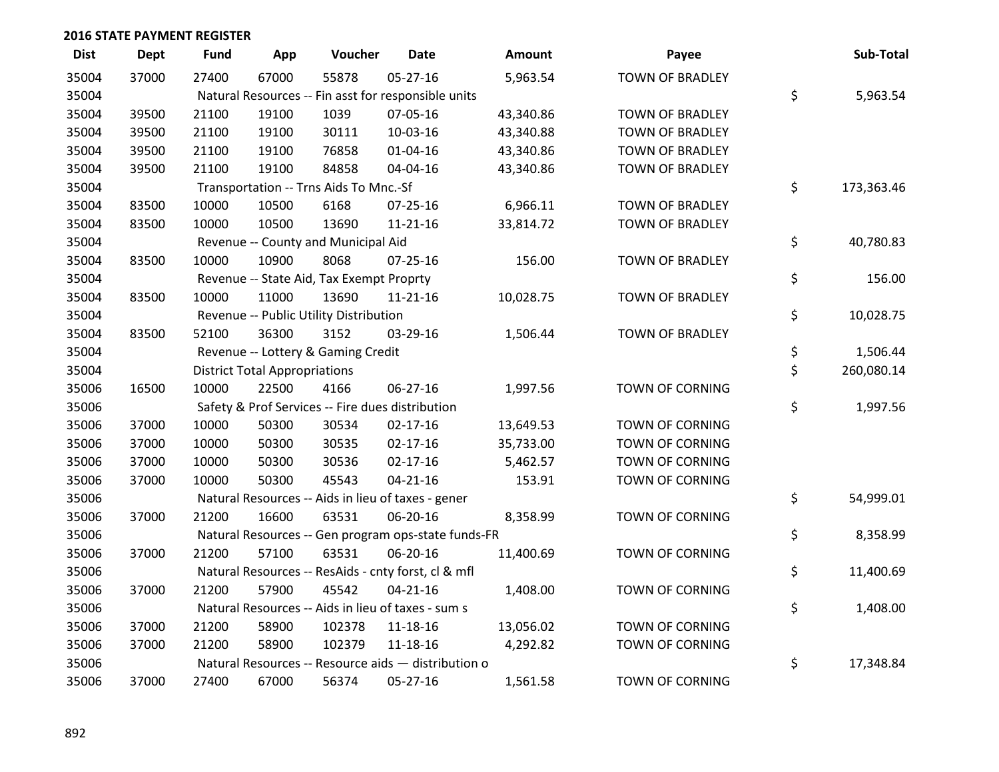| <b>Dist</b> | <b>Dept</b> | <b>Fund</b> | App                                  | Voucher                                  | <b>Date</b>                                         | Amount    | Payee                  | Sub-Total        |
|-------------|-------------|-------------|--------------------------------------|------------------------------------------|-----------------------------------------------------|-----------|------------------------|------------------|
| 35004       | 37000       | 27400       | 67000                                | 55878                                    | $05-27-16$                                          | 5,963.54  | <b>TOWN OF BRADLEY</b> |                  |
| 35004       |             |             |                                      |                                          | Natural Resources -- Fin asst for responsible units |           |                        | \$<br>5,963.54   |
| 35004       | 39500       | 21100       | 19100                                | 1039                                     | 07-05-16                                            | 43,340.86 | TOWN OF BRADLEY        |                  |
| 35004       | 39500       | 21100       | 19100                                | 30111                                    | 10-03-16                                            | 43,340.88 | TOWN OF BRADLEY        |                  |
| 35004       | 39500       | 21100       | 19100                                | 76858                                    | $01 - 04 - 16$                                      | 43,340.86 | <b>TOWN OF BRADLEY</b> |                  |
| 35004       | 39500       | 21100       | 19100                                | 84858                                    | 04-04-16                                            | 43,340.86 | TOWN OF BRADLEY        |                  |
| 35004       |             |             |                                      | Transportation -- Trns Aids To Mnc.-Sf   |                                                     |           |                        | \$<br>173,363.46 |
| 35004       | 83500       | 10000       | 10500                                | 6168                                     | $07 - 25 - 16$                                      | 6,966.11  | <b>TOWN OF BRADLEY</b> |                  |
| 35004       | 83500       | 10000       | 10500                                | 13690                                    | 11-21-16                                            | 33,814.72 | TOWN OF BRADLEY        |                  |
| 35004       |             |             |                                      | Revenue -- County and Municipal Aid      |                                                     |           |                        | \$<br>40,780.83  |
| 35004       | 83500       | 10000       | 10900                                | 8068                                     | $07 - 25 - 16$                                      | 156.00    | <b>TOWN OF BRADLEY</b> |                  |
| 35004       |             |             |                                      | Revenue -- State Aid, Tax Exempt Proprty |                                                     |           |                        | \$<br>156.00     |
| 35004       | 83500       | 10000       | 11000                                | 13690                                    | 11-21-16                                            | 10,028.75 | <b>TOWN OF BRADLEY</b> |                  |
| 35004       |             |             |                                      | Revenue -- Public Utility Distribution   |                                                     |           |                        | \$<br>10,028.75  |
| 35004       | 83500       | 52100       | 36300                                | 3152                                     | 03-29-16                                            | 1,506.44  | <b>TOWN OF BRADLEY</b> |                  |
| 35004       |             |             |                                      | Revenue -- Lottery & Gaming Credit       |                                                     |           |                        | \$<br>1,506.44   |
| 35004       |             |             | <b>District Total Appropriations</b> |                                          |                                                     |           |                        | \$<br>260,080.14 |
| 35006       | 16500       | 10000       | 22500                                | 4166                                     | 06-27-16                                            | 1,997.56  | TOWN OF CORNING        |                  |
| 35006       |             |             |                                      |                                          | Safety & Prof Services -- Fire dues distribution    |           |                        | \$<br>1,997.56   |
| 35006       | 37000       | 10000       | 50300                                | 30534                                    | $02 - 17 - 16$                                      | 13,649.53 | <b>TOWN OF CORNING</b> |                  |
| 35006       | 37000       | 10000       | 50300                                | 30535                                    | $02 - 17 - 16$                                      | 35,733.00 | <b>TOWN OF CORNING</b> |                  |
| 35006       | 37000       | 10000       | 50300                                | 30536                                    | $02 - 17 - 16$                                      | 5,462.57  | <b>TOWN OF CORNING</b> |                  |
| 35006       | 37000       | 10000       | 50300                                | 45543                                    | $04 - 21 - 16$                                      | 153.91    | TOWN OF CORNING        |                  |
| 35006       |             |             |                                      |                                          | Natural Resources -- Aids in lieu of taxes - gener  |           |                        | \$<br>54,999.01  |
| 35006       | 37000       | 21200       | 16600                                | 63531                                    | 06-20-16                                            | 8,358.99  | <b>TOWN OF CORNING</b> |                  |
| 35006       |             |             |                                      |                                          | Natural Resources -- Gen program ops-state funds-FR |           |                        | \$<br>8,358.99   |
| 35006       | 37000       | 21200       | 57100                                | 63531                                    | 06-20-16                                            | 11,400.69 | TOWN OF CORNING        |                  |
| 35006       |             |             |                                      |                                          | Natural Resources -- ResAids - cnty forst, cl & mfl |           |                        | \$<br>11,400.69  |
| 35006       | 37000       | 21200       | 57900                                | 45542                                    | $04 - 21 - 16$                                      | 1,408.00  | TOWN OF CORNING        |                  |
| 35006       |             |             |                                      |                                          | Natural Resources -- Aids in lieu of taxes - sum s  |           |                        | \$<br>1,408.00   |
| 35006       | 37000       | 21200       | 58900                                | 102378                                   | 11-18-16                                            | 13,056.02 | <b>TOWN OF CORNING</b> |                  |
| 35006       | 37000       | 21200       | 58900                                | 102379                                   | 11-18-16                                            | 4,292.82  | TOWN OF CORNING        |                  |
| 35006       |             |             |                                      |                                          | Natural Resources -- Resource aids - distribution o |           |                        | \$<br>17,348.84  |
| 35006       | 37000       | 27400       | 67000                                | 56374                                    | 05-27-16                                            | 1,561.58  | <b>TOWN OF CORNING</b> |                  |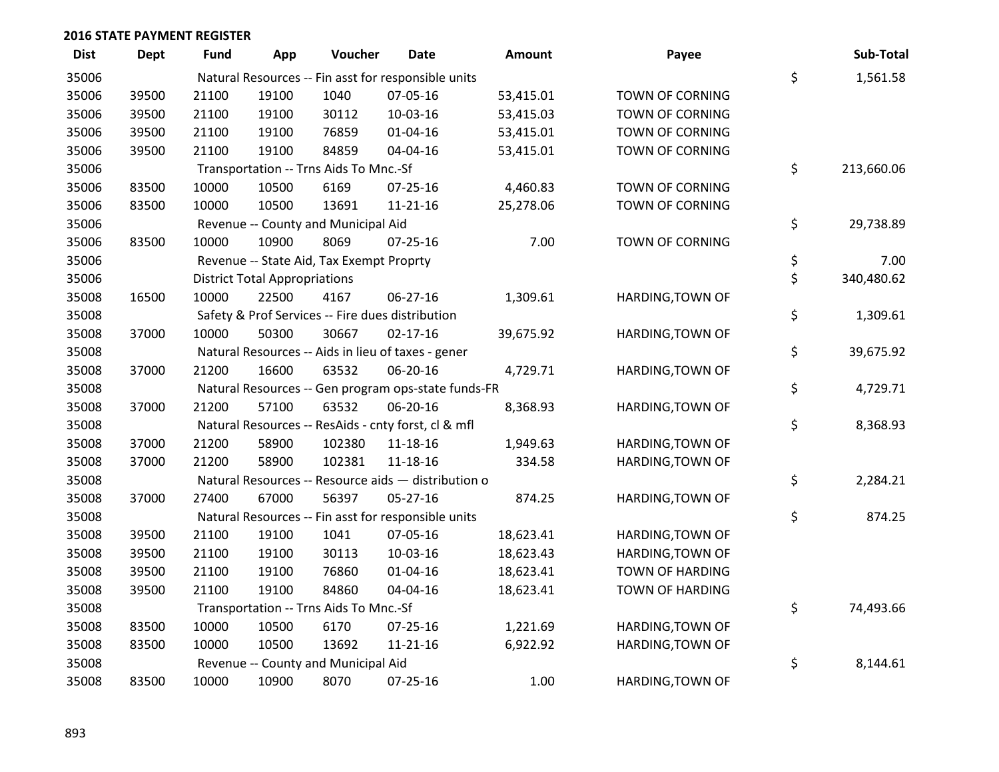| <b>Dist</b> | <b>Dept</b> | <b>Fund</b> | App                                  | Voucher                                  | Date                                                | Amount    | Payee                  | Sub-Total        |
|-------------|-------------|-------------|--------------------------------------|------------------------------------------|-----------------------------------------------------|-----------|------------------------|------------------|
| 35006       |             |             |                                      |                                          | Natural Resources -- Fin asst for responsible units |           |                        | \$<br>1,561.58   |
| 35006       | 39500       | 21100       | 19100                                | 1040                                     | 07-05-16                                            | 53,415.01 | TOWN OF CORNING        |                  |
| 35006       | 39500       | 21100       | 19100                                | 30112                                    | 10-03-16                                            | 53,415.03 | TOWN OF CORNING        |                  |
| 35006       | 39500       | 21100       | 19100                                | 76859                                    | $01 - 04 - 16$                                      | 53,415.01 | TOWN OF CORNING        |                  |
| 35006       | 39500       | 21100       | 19100                                | 84859                                    | 04-04-16                                            | 53,415.01 | <b>TOWN OF CORNING</b> |                  |
| 35006       |             |             |                                      | Transportation -- Trns Aids To Mnc.-Sf   |                                                     |           |                        | \$<br>213,660.06 |
| 35006       | 83500       | 10000       | 10500                                | 6169                                     | $07 - 25 - 16$                                      | 4,460.83  | TOWN OF CORNING        |                  |
| 35006       | 83500       | 10000       | 10500                                | 13691                                    | $11 - 21 - 16$                                      | 25,278.06 | TOWN OF CORNING        |                  |
| 35006       |             |             |                                      | Revenue -- County and Municipal Aid      |                                                     |           |                        | \$<br>29,738.89  |
| 35006       | 83500       | 10000       | 10900                                | 8069                                     | $07 - 25 - 16$                                      | 7.00      | TOWN OF CORNING        |                  |
| 35006       |             |             |                                      | Revenue -- State Aid, Tax Exempt Proprty |                                                     |           |                        | \$<br>7.00       |
| 35006       |             |             | <b>District Total Appropriations</b> |                                          |                                                     |           |                        | \$<br>340,480.62 |
| 35008       | 16500       | 10000       | 22500                                | 4167                                     | 06-27-16                                            | 1,309.61  | HARDING, TOWN OF       |                  |
| 35008       |             |             |                                      |                                          | Safety & Prof Services -- Fire dues distribution    |           |                        | \$<br>1,309.61   |
| 35008       | 37000       | 10000       | 50300                                | 30667                                    | $02 - 17 - 16$                                      | 39,675.92 | HARDING, TOWN OF       |                  |
| 35008       |             |             |                                      |                                          | Natural Resources -- Aids in lieu of taxes - gener  |           |                        | \$<br>39,675.92  |
| 35008       | 37000       | 21200       | 16600                                | 63532                                    | 06-20-16                                            | 4,729.71  | HARDING, TOWN OF       |                  |
| 35008       |             |             |                                      |                                          | Natural Resources -- Gen program ops-state funds-FR |           |                        | \$<br>4,729.71   |
| 35008       | 37000       | 21200       | 57100                                | 63532                                    | 06-20-16                                            | 8,368.93  | HARDING, TOWN OF       |                  |
| 35008       |             |             |                                      |                                          | Natural Resources -- ResAids - cnty forst, cl & mfl |           |                        | \$<br>8,368.93   |
| 35008       | 37000       | 21200       | 58900                                | 102380                                   | 11-18-16                                            | 1,949.63  | HARDING, TOWN OF       |                  |
| 35008       | 37000       | 21200       | 58900                                | 102381                                   | 11-18-16                                            | 334.58    | HARDING, TOWN OF       |                  |
| 35008       |             |             |                                      |                                          | Natural Resources -- Resource aids - distribution o |           |                        | \$<br>2,284.21   |
| 35008       | 37000       | 27400       | 67000                                | 56397                                    | $05 - 27 - 16$                                      | 874.25    | HARDING, TOWN OF       |                  |
| 35008       |             |             |                                      |                                          | Natural Resources -- Fin asst for responsible units |           |                        | \$<br>874.25     |
| 35008       | 39500       | 21100       | 19100                                | 1041                                     | 07-05-16                                            | 18,623.41 | HARDING, TOWN OF       |                  |
| 35008       | 39500       | 21100       | 19100                                | 30113                                    | 10-03-16                                            | 18,623.43 | HARDING, TOWN OF       |                  |
| 35008       | 39500       | 21100       | 19100                                | 76860                                    | $01 - 04 - 16$                                      | 18,623.41 | <b>TOWN OF HARDING</b> |                  |
| 35008       | 39500       | 21100       | 19100                                | 84860                                    | 04-04-16                                            | 18,623.41 | <b>TOWN OF HARDING</b> |                  |
| 35008       |             |             |                                      | Transportation -- Trns Aids To Mnc.-Sf   |                                                     |           |                        | \$<br>74,493.66  |
| 35008       | 83500       | 10000       | 10500                                | 6170                                     | 07-25-16                                            | 1,221.69  | HARDING, TOWN OF       |                  |
| 35008       | 83500       | 10000       | 10500                                | 13692                                    | $11 - 21 - 16$                                      | 6,922.92  | HARDING, TOWN OF       |                  |
| 35008       |             |             |                                      | Revenue -- County and Municipal Aid      |                                                     |           |                        | \$<br>8,144.61   |
| 35008       | 83500       | 10000       | 10900                                | 8070                                     | 07-25-16                                            | 1.00      | HARDING, TOWN OF       |                  |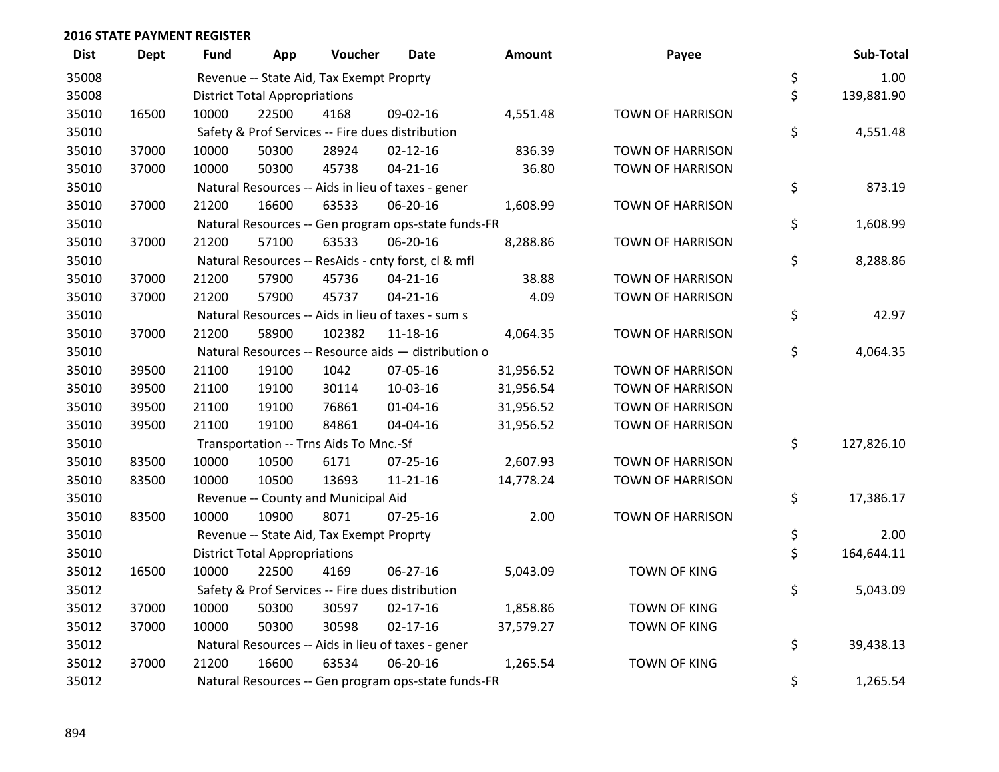| <b>Dist</b> | <b>Dept</b> | <b>Fund</b> | App                                  | Voucher                                  | Date                                                | Amount    | Payee                   | Sub-Total        |
|-------------|-------------|-------------|--------------------------------------|------------------------------------------|-----------------------------------------------------|-----------|-------------------------|------------------|
| 35008       |             |             |                                      | Revenue -- State Aid, Tax Exempt Proprty |                                                     |           |                         | \$<br>1.00       |
| 35008       |             |             | <b>District Total Appropriations</b> |                                          |                                                     |           |                         | \$<br>139,881.90 |
| 35010       | 16500       | 10000       | 22500                                | 4168                                     | 09-02-16                                            | 4,551.48  | <b>TOWN OF HARRISON</b> |                  |
| 35010       |             |             |                                      |                                          | Safety & Prof Services -- Fire dues distribution    |           |                         | \$<br>4,551.48   |
| 35010       | 37000       | 10000       | 50300                                | 28924                                    | $02 - 12 - 16$                                      | 836.39    | <b>TOWN OF HARRISON</b> |                  |
| 35010       | 37000       | 10000       | 50300                                | 45738                                    | $04 - 21 - 16$                                      | 36.80     | <b>TOWN OF HARRISON</b> |                  |
| 35010       |             |             |                                      |                                          | Natural Resources -- Aids in lieu of taxes - gener  |           |                         | \$<br>873.19     |
| 35010       | 37000       | 21200       | 16600                                | 63533                                    | 06-20-16                                            | 1,608.99  | <b>TOWN OF HARRISON</b> |                  |
| 35010       |             |             |                                      |                                          | Natural Resources -- Gen program ops-state funds-FR |           |                         | \$<br>1,608.99   |
| 35010       | 37000       | 21200       | 57100                                | 63533                                    | 06-20-16                                            | 8,288.86  | <b>TOWN OF HARRISON</b> |                  |
| 35010       |             |             |                                      |                                          | Natural Resources -- ResAids - cnty forst, cl & mfl |           |                         | \$<br>8,288.86   |
| 35010       | 37000       | 21200       | 57900                                | 45736                                    | $04 - 21 - 16$                                      | 38.88     | <b>TOWN OF HARRISON</b> |                  |
| 35010       | 37000       | 21200       | 57900                                | 45737                                    | $04 - 21 - 16$                                      | 4.09      | <b>TOWN OF HARRISON</b> |                  |
| 35010       |             |             |                                      |                                          | Natural Resources -- Aids in lieu of taxes - sum s  |           |                         | \$<br>42.97      |
| 35010       | 37000       | 21200       | 58900                                | 102382                                   | $11 - 18 - 16$                                      | 4,064.35  | <b>TOWN OF HARRISON</b> |                  |
| 35010       |             |             |                                      |                                          | Natural Resources -- Resource aids - distribution o |           |                         | \$<br>4,064.35   |
| 35010       | 39500       | 21100       | 19100                                | 1042                                     | 07-05-16                                            | 31,956.52 | <b>TOWN OF HARRISON</b> |                  |
| 35010       | 39500       | 21100       | 19100                                | 30114                                    | 10-03-16                                            | 31,956.54 | <b>TOWN OF HARRISON</b> |                  |
| 35010       | 39500       | 21100       | 19100                                | 76861                                    | $01 - 04 - 16$                                      | 31,956.52 | <b>TOWN OF HARRISON</b> |                  |
| 35010       | 39500       | 21100       | 19100                                | 84861                                    | 04-04-16                                            | 31,956.52 | <b>TOWN OF HARRISON</b> |                  |
| 35010       |             |             |                                      | Transportation -- Trns Aids To Mnc.-Sf   |                                                     |           |                         | \$<br>127,826.10 |
| 35010       | 83500       | 10000       | 10500                                | 6171                                     | $07 - 25 - 16$                                      | 2,607.93  | <b>TOWN OF HARRISON</b> |                  |
| 35010       | 83500       | 10000       | 10500                                | 13693                                    | $11 - 21 - 16$                                      | 14,778.24 | TOWN OF HARRISON        |                  |
| 35010       |             |             |                                      | Revenue -- County and Municipal Aid      |                                                     |           |                         | \$<br>17,386.17  |
| 35010       | 83500       | 10000       | 10900                                | 8071                                     | $07 - 25 - 16$                                      | 2.00      | <b>TOWN OF HARRISON</b> |                  |
| 35010       |             |             |                                      | Revenue -- State Aid, Tax Exempt Proprty |                                                     |           |                         | \$<br>2.00       |
| 35010       |             |             | <b>District Total Appropriations</b> |                                          |                                                     |           |                         | \$<br>164,644.11 |
| 35012       | 16500       | 10000       | 22500                                | 4169                                     | 06-27-16                                            | 5,043.09  | <b>TOWN OF KING</b>     |                  |
| 35012       |             |             |                                      |                                          | Safety & Prof Services -- Fire dues distribution    |           |                         | \$<br>5,043.09   |
| 35012       | 37000       | 10000       | 50300                                | 30597                                    | $02 - 17 - 16$                                      | 1,858.86  | <b>TOWN OF KING</b>     |                  |
| 35012       | 37000       | 10000       | 50300                                | 30598                                    | $02 - 17 - 16$                                      | 37,579.27 | <b>TOWN OF KING</b>     |                  |
| 35012       |             |             |                                      |                                          | Natural Resources -- Aids in lieu of taxes - gener  |           |                         | \$<br>39,438.13  |
| 35012       | 37000       | 21200       | 16600                                | 63534                                    | 06-20-16                                            | 1,265.54  | <b>TOWN OF KING</b>     |                  |
| 35012       |             |             |                                      |                                          | Natural Resources -- Gen program ops-state funds-FR |           |                         | \$<br>1,265.54   |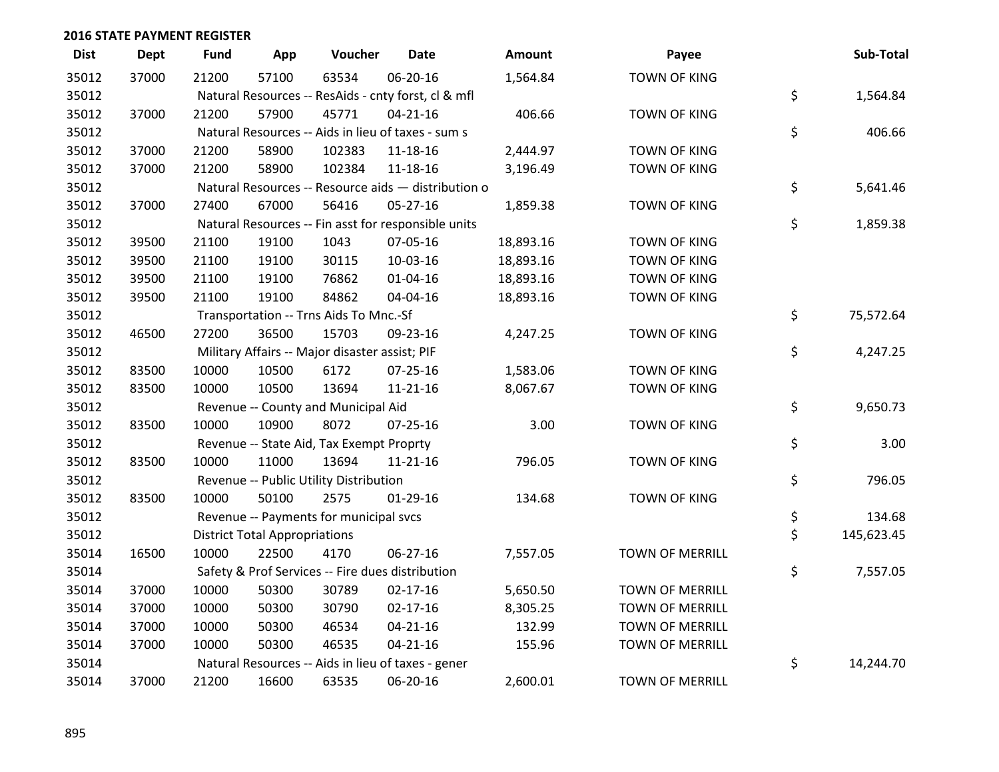| <b>Dist</b> | <b>Dept</b> | <b>Fund</b> | App                                  | Voucher                                        | <b>Date</b>                                         | <b>Amount</b> | Payee                  | Sub-Total        |
|-------------|-------------|-------------|--------------------------------------|------------------------------------------------|-----------------------------------------------------|---------------|------------------------|------------------|
| 35012       | 37000       | 21200       | 57100                                | 63534                                          | 06-20-16                                            | 1,564.84      | <b>TOWN OF KING</b>    |                  |
| 35012       |             |             |                                      |                                                | Natural Resources -- ResAids - cnty forst, cl & mfl |               |                        | \$<br>1,564.84   |
| 35012       | 37000       | 21200       | 57900                                | 45771                                          | $04 - 21 - 16$                                      | 406.66        | <b>TOWN OF KING</b>    |                  |
| 35012       |             |             |                                      |                                                | Natural Resources -- Aids in lieu of taxes - sum s  |               |                        | \$<br>406.66     |
| 35012       | 37000       | 21200       | 58900                                | 102383                                         | 11-18-16                                            | 2,444.97      | <b>TOWN OF KING</b>    |                  |
| 35012       | 37000       | 21200       | 58900                                | 102384                                         | 11-18-16                                            | 3,196.49      | <b>TOWN OF KING</b>    |                  |
| 35012       |             |             |                                      |                                                | Natural Resources -- Resource aids - distribution o |               |                        | \$<br>5,641.46   |
| 35012       | 37000       | 27400       | 67000                                | 56416                                          | 05-27-16                                            | 1,859.38      | TOWN OF KING           |                  |
| 35012       |             |             |                                      |                                                | Natural Resources -- Fin asst for responsible units |               |                        | \$<br>1,859.38   |
| 35012       | 39500       | 21100       | 19100                                | 1043                                           | 07-05-16                                            | 18,893.16     | <b>TOWN OF KING</b>    |                  |
| 35012       | 39500       | 21100       | 19100                                | 30115                                          | 10-03-16                                            | 18,893.16     | <b>TOWN OF KING</b>    |                  |
| 35012       | 39500       | 21100       | 19100                                | 76862                                          | $01 - 04 - 16$                                      | 18,893.16     | <b>TOWN OF KING</b>    |                  |
| 35012       | 39500       | 21100       | 19100                                | 84862                                          | 04-04-16                                            | 18,893.16     | <b>TOWN OF KING</b>    |                  |
| 35012       |             |             |                                      | Transportation -- Trns Aids To Mnc.-Sf         |                                                     |               |                        | \$<br>75,572.64  |
| 35012       | 46500       | 27200       | 36500                                | 15703                                          | 09-23-16                                            | 4,247.25      | <b>TOWN OF KING</b>    |                  |
| 35012       |             |             |                                      | Military Affairs -- Major disaster assist; PIF |                                                     |               |                        | \$<br>4,247.25   |
| 35012       | 83500       | 10000       | 10500                                | 6172                                           | 07-25-16                                            | 1,583.06      | <b>TOWN OF KING</b>    |                  |
| 35012       | 83500       | 10000       | 10500                                | 13694                                          | 11-21-16                                            | 8,067.67      | <b>TOWN OF KING</b>    |                  |
| 35012       |             |             |                                      | Revenue -- County and Municipal Aid            |                                                     |               |                        | \$<br>9,650.73   |
| 35012       | 83500       | 10000       | 10900                                | 8072                                           | $07 - 25 - 16$                                      | 3.00          | <b>TOWN OF KING</b>    |                  |
| 35012       |             |             |                                      | Revenue -- State Aid, Tax Exempt Proprty       |                                                     |               |                        | \$<br>3.00       |
| 35012       | 83500       | 10000       | 11000                                | 13694                                          | 11-21-16                                            | 796.05        | <b>TOWN OF KING</b>    |                  |
| 35012       |             |             |                                      | Revenue -- Public Utility Distribution         |                                                     |               |                        | \$<br>796.05     |
| 35012       | 83500       | 10000       | 50100                                | 2575                                           | $01-29-16$                                          | 134.68        | <b>TOWN OF KING</b>    |                  |
| 35012       |             |             |                                      | Revenue -- Payments for municipal svcs         |                                                     |               |                        | \$<br>134.68     |
| 35012       |             |             | <b>District Total Appropriations</b> |                                                |                                                     |               |                        | \$<br>145,623.45 |
| 35014       | 16500       | 10000       | 22500                                | 4170                                           | 06-27-16                                            | 7,557.05      | <b>TOWN OF MERRILL</b> |                  |
| 35014       |             |             |                                      |                                                | Safety & Prof Services -- Fire dues distribution    |               |                        | \$<br>7,557.05   |
| 35014       | 37000       | 10000       | 50300                                | 30789                                          | $02 - 17 - 16$                                      | 5,650.50      | TOWN OF MERRILL        |                  |
| 35014       | 37000       | 10000       | 50300                                | 30790                                          | $02 - 17 - 16$                                      | 8,305.25      | <b>TOWN OF MERRILL</b> |                  |
| 35014       | 37000       | 10000       | 50300                                | 46534                                          | $04 - 21 - 16$                                      | 132.99        | <b>TOWN OF MERRILL</b> |                  |
| 35014       | 37000       | 10000       | 50300                                | 46535                                          | $04 - 21 - 16$                                      | 155.96        | TOWN OF MERRILL        |                  |
| 35014       |             |             |                                      |                                                | Natural Resources -- Aids in lieu of taxes - gener  |               |                        | \$<br>14,244.70  |
| 35014       | 37000       | 21200       | 16600                                | 63535                                          | 06-20-16                                            | 2,600.01      | <b>TOWN OF MERRILL</b> |                  |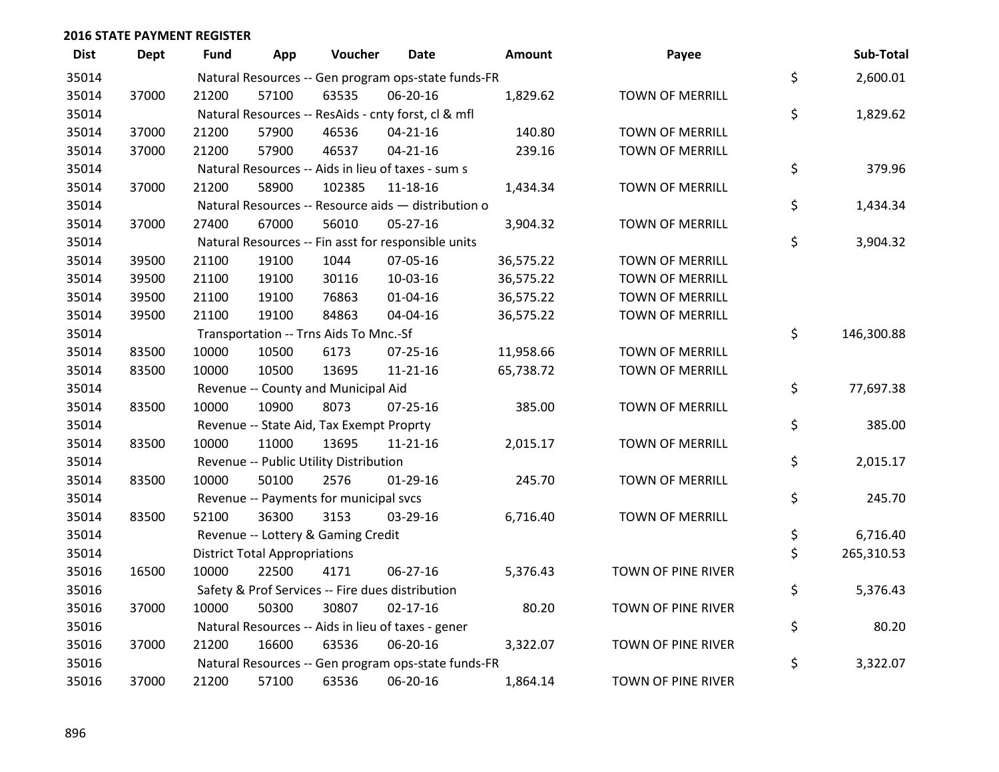| <b>Dist</b> | <b>Dept</b> | <b>Fund</b> | App                                  | Voucher                                             | <b>Date</b>    | <b>Amount</b> | Payee                  | Sub-Total        |
|-------------|-------------|-------------|--------------------------------------|-----------------------------------------------------|----------------|---------------|------------------------|------------------|
| 35014       |             |             |                                      | Natural Resources -- Gen program ops-state funds-FR |                |               |                        | \$<br>2,600.01   |
| 35014       | 37000       | 21200       | 57100                                | 63535                                               | 06-20-16       | 1,829.62      | TOWN OF MERRILL        |                  |
| 35014       |             |             |                                      | Natural Resources -- ResAids - cnty forst, cl & mfl |                |               |                        | \$<br>1,829.62   |
| 35014       | 37000       | 21200       | 57900                                | 46536                                               | $04 - 21 - 16$ | 140.80        | <b>TOWN OF MERRILL</b> |                  |
| 35014       | 37000       | 21200       | 57900                                | 46537                                               | $04 - 21 - 16$ | 239.16        | <b>TOWN OF MERRILL</b> |                  |
| 35014       |             |             |                                      | Natural Resources -- Aids in lieu of taxes - sum s  |                |               |                        | \$<br>379.96     |
| 35014       | 37000       | 21200       | 58900                                | 102385                                              | 11-18-16       | 1,434.34      | <b>TOWN OF MERRILL</b> |                  |
| 35014       |             |             |                                      | Natural Resources -- Resource aids - distribution o |                |               |                        | \$<br>1,434.34   |
| 35014       | 37000       | 27400       | 67000                                | 56010                                               | $05 - 27 - 16$ | 3,904.32      | TOWN OF MERRILL        |                  |
| 35014       |             |             |                                      | Natural Resources -- Fin asst for responsible units |                |               |                        | \$<br>3,904.32   |
| 35014       | 39500       | 21100       | 19100                                | 1044                                                | 07-05-16       | 36,575.22     | <b>TOWN OF MERRILL</b> |                  |
| 35014       | 39500       | 21100       | 19100                                | 30116                                               | 10-03-16       | 36,575.22     | <b>TOWN OF MERRILL</b> |                  |
| 35014       | 39500       | 21100       | 19100                                | 76863                                               | $01 - 04 - 16$ | 36,575.22     | <b>TOWN OF MERRILL</b> |                  |
| 35014       | 39500       | 21100       | 19100                                | 84863                                               | 04-04-16       | 36,575.22     | TOWN OF MERRILL        |                  |
| 35014       |             |             |                                      | Transportation -- Trns Aids To Mnc.-Sf              |                |               |                        | \$<br>146,300.88 |
| 35014       | 83500       | 10000       | 10500                                | 6173                                                | 07-25-16       | 11,958.66     | <b>TOWN OF MERRILL</b> |                  |
| 35014       | 83500       | 10000       | 10500                                | 13695                                               | $11 - 21 - 16$ | 65,738.72     | <b>TOWN OF MERRILL</b> |                  |
| 35014       |             |             |                                      | Revenue -- County and Municipal Aid                 |                |               |                        | \$<br>77,697.38  |
| 35014       | 83500       | 10000       | 10900                                | 8073                                                | 07-25-16       | 385.00        | TOWN OF MERRILL        |                  |
| 35014       |             |             |                                      | Revenue -- State Aid, Tax Exempt Proprty            |                |               |                        | \$<br>385.00     |
| 35014       | 83500       | 10000       | 11000                                | 13695                                               | $11 - 21 - 16$ | 2,015.17      | <b>TOWN OF MERRILL</b> |                  |
| 35014       |             |             |                                      | Revenue -- Public Utility Distribution              |                |               |                        | \$<br>2,015.17   |
| 35014       | 83500       | 10000       | 50100                                | 2576                                                | $01-29-16$     | 245.70        | <b>TOWN OF MERRILL</b> |                  |
| 35014       |             |             |                                      | Revenue -- Payments for municipal svcs              |                |               |                        | \$<br>245.70     |
| 35014       | 83500       | 52100       | 36300                                | 3153                                                | 03-29-16       | 6,716.40      | TOWN OF MERRILL        |                  |
| 35014       |             |             |                                      | Revenue -- Lottery & Gaming Credit                  |                |               |                        | \$<br>6,716.40   |
| 35014       |             |             | <b>District Total Appropriations</b> |                                                     |                |               |                        | \$<br>265,310.53 |
| 35016       | 16500       | 10000       | 22500                                | 4171                                                | 06-27-16       | 5,376.43      | TOWN OF PINE RIVER     |                  |
| 35016       |             |             |                                      | Safety & Prof Services -- Fire dues distribution    |                |               |                        | \$<br>5,376.43   |
| 35016       | 37000       | 10000       | 50300                                | 30807                                               | $02 - 17 - 16$ | 80.20         | TOWN OF PINE RIVER     |                  |
| 35016       |             |             |                                      | Natural Resources -- Aids in lieu of taxes - gener  |                |               |                        | \$<br>80.20      |
| 35016       | 37000       | 21200       | 16600                                | 63536                                               | 06-20-16       | 3,322.07      | TOWN OF PINE RIVER     |                  |
| 35016       |             |             |                                      | Natural Resources -- Gen program ops-state funds-FR |                |               |                        | \$<br>3,322.07   |
| 35016       | 37000       | 21200       | 57100                                | 63536                                               | 06-20-16       | 1,864.14      | TOWN OF PINE RIVER     |                  |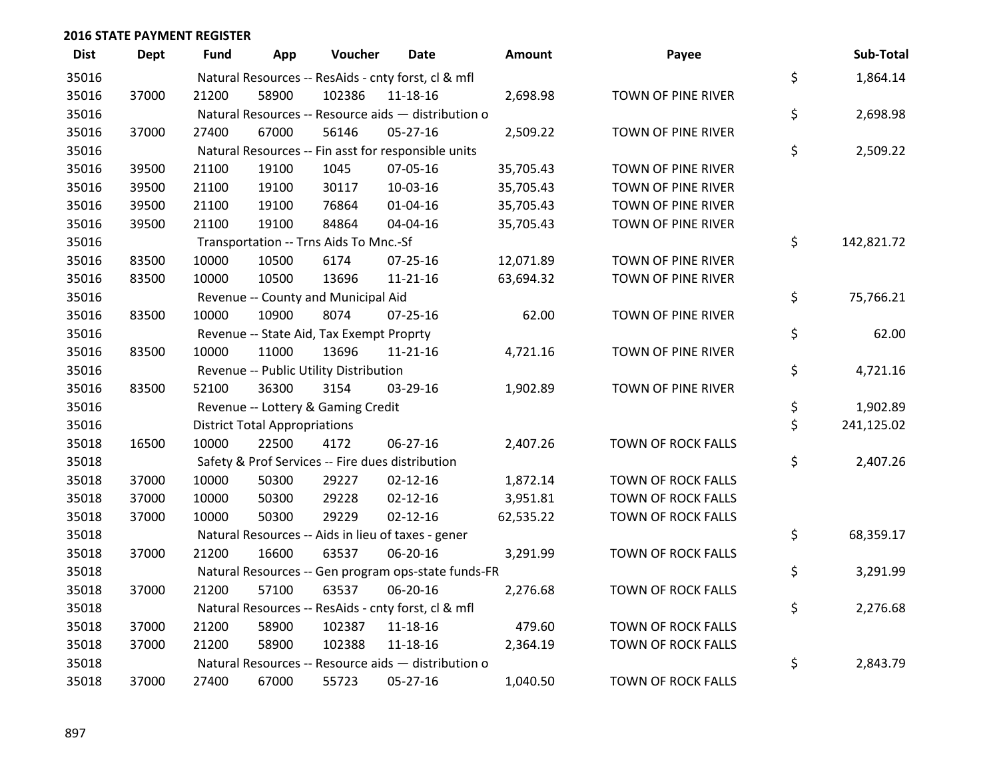| <b>Dist</b> | <b>Dept</b> | <b>Fund</b> | App                                  | Voucher                                  | <b>Date</b>                                         | Amount    | Payee              | Sub-Total        |
|-------------|-------------|-------------|--------------------------------------|------------------------------------------|-----------------------------------------------------|-----------|--------------------|------------------|
| 35016       |             |             |                                      |                                          | Natural Resources -- ResAids - cnty forst, cl & mfl |           |                    | \$<br>1,864.14   |
| 35016       | 37000       | 21200       | 58900                                | 102386                                   | 11-18-16                                            | 2,698.98  | TOWN OF PINE RIVER |                  |
| 35016       |             |             |                                      |                                          | Natural Resources -- Resource aids - distribution o |           |                    | \$<br>2,698.98   |
| 35016       | 37000       | 27400       | 67000                                | 56146                                    | 05-27-16                                            | 2,509.22  | TOWN OF PINE RIVER |                  |
| 35016       |             |             |                                      |                                          | Natural Resources -- Fin asst for responsible units |           |                    | \$<br>2,509.22   |
| 35016       | 39500       | 21100       | 19100                                | 1045                                     | 07-05-16                                            | 35,705.43 | TOWN OF PINE RIVER |                  |
| 35016       | 39500       | 21100       | 19100                                | 30117                                    | 10-03-16                                            | 35,705.43 | TOWN OF PINE RIVER |                  |
| 35016       | 39500       | 21100       | 19100                                | 76864                                    | $01 - 04 - 16$                                      | 35,705.43 | TOWN OF PINE RIVER |                  |
| 35016       | 39500       | 21100       | 19100                                | 84864                                    | 04-04-16                                            | 35,705.43 | TOWN OF PINE RIVER |                  |
| 35016       |             |             |                                      | Transportation -- Trns Aids To Mnc.-Sf   |                                                     |           |                    | \$<br>142,821.72 |
| 35016       | 83500       | 10000       | 10500                                | 6174                                     | $07 - 25 - 16$                                      | 12,071.89 | TOWN OF PINE RIVER |                  |
| 35016       | 83500       | 10000       | 10500                                | 13696                                    | $11 - 21 - 16$                                      | 63,694.32 | TOWN OF PINE RIVER |                  |
| 35016       |             |             |                                      | Revenue -- County and Municipal Aid      |                                                     |           |                    | \$<br>75,766.21  |
| 35016       | 83500       | 10000       | 10900                                | 8074                                     | $07 - 25 - 16$                                      | 62.00     | TOWN OF PINE RIVER |                  |
| 35016       |             |             |                                      | Revenue -- State Aid, Tax Exempt Proprty |                                                     |           |                    | \$<br>62.00      |
| 35016       | 83500       | 10000       | 11000                                | 13696                                    | $11 - 21 - 16$                                      | 4,721.16  | TOWN OF PINE RIVER |                  |
| 35016       |             |             |                                      | Revenue -- Public Utility Distribution   |                                                     |           |                    | \$<br>4,721.16   |
| 35016       | 83500       | 52100       | 36300                                | 3154                                     | 03-29-16                                            | 1,902.89  | TOWN OF PINE RIVER |                  |
| 35016       |             |             |                                      | Revenue -- Lottery & Gaming Credit       |                                                     |           |                    | \$<br>1,902.89   |
| 35016       |             |             | <b>District Total Appropriations</b> |                                          |                                                     |           |                    | \$<br>241,125.02 |
| 35018       | 16500       | 10000       | 22500                                | 4172                                     | 06-27-16                                            | 2,407.26  | TOWN OF ROCK FALLS |                  |
| 35018       |             |             |                                      |                                          | Safety & Prof Services -- Fire dues distribution    |           |                    | \$<br>2,407.26   |
| 35018       | 37000       | 10000       | 50300                                | 29227                                    | $02 - 12 - 16$                                      | 1,872.14  | TOWN OF ROCK FALLS |                  |
| 35018       | 37000       | 10000       | 50300                                | 29228                                    | $02 - 12 - 16$                                      | 3,951.81  | TOWN OF ROCK FALLS |                  |
| 35018       | 37000       | 10000       | 50300                                | 29229                                    | $02 - 12 - 16$                                      | 62,535.22 | TOWN OF ROCK FALLS |                  |
| 35018       |             |             |                                      |                                          | Natural Resources -- Aids in lieu of taxes - gener  |           |                    | \$<br>68,359.17  |
| 35018       | 37000       | 21200       | 16600                                | 63537                                    | 06-20-16                                            | 3,291.99  | TOWN OF ROCK FALLS |                  |
| 35018       |             |             |                                      |                                          | Natural Resources -- Gen program ops-state funds-FR |           |                    | \$<br>3,291.99   |
| 35018       | 37000       | 21200       | 57100                                | 63537                                    | 06-20-16                                            | 2,276.68  | TOWN OF ROCK FALLS |                  |
| 35018       |             |             |                                      |                                          | Natural Resources -- ResAids - cnty forst, cl & mfl |           |                    | \$<br>2,276.68   |
| 35018       | 37000       | 21200       | 58900                                | 102387                                   | 11-18-16                                            | 479.60    | TOWN OF ROCK FALLS |                  |
| 35018       | 37000       | 21200       | 58900                                | 102388                                   | $11 - 18 - 16$                                      | 2,364.19  | TOWN OF ROCK FALLS |                  |
| 35018       |             |             |                                      |                                          | Natural Resources -- Resource aids - distribution o |           |                    | \$<br>2,843.79   |
| 35018       | 37000       | 27400       | 67000                                | 55723                                    | 05-27-16                                            | 1,040.50  | TOWN OF ROCK FALLS |                  |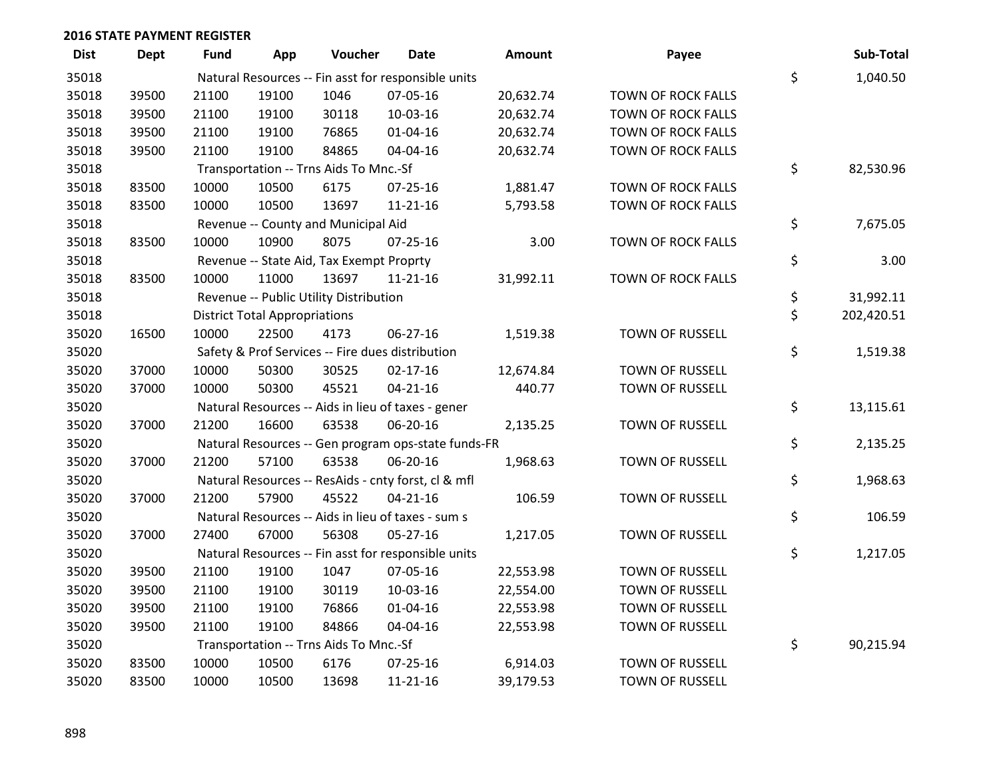| <b>Dist</b> | <b>Dept</b> | <b>Fund</b> | App                                  | Voucher                                  | <b>Date</b>                                         | <b>Amount</b> | Payee                  | Sub-Total        |
|-------------|-------------|-------------|--------------------------------------|------------------------------------------|-----------------------------------------------------|---------------|------------------------|------------------|
| 35018       |             |             |                                      |                                          | Natural Resources -- Fin asst for responsible units |               |                        | \$<br>1,040.50   |
| 35018       | 39500       | 21100       | 19100                                | 1046                                     | 07-05-16                                            | 20,632.74     | TOWN OF ROCK FALLS     |                  |
| 35018       | 39500       | 21100       | 19100                                | 30118                                    | 10-03-16                                            | 20,632.74     | TOWN OF ROCK FALLS     |                  |
| 35018       | 39500       | 21100       | 19100                                | 76865                                    | $01 - 04 - 16$                                      | 20,632.74     | TOWN OF ROCK FALLS     |                  |
| 35018       | 39500       | 21100       | 19100                                | 84865                                    | 04-04-16                                            | 20,632.74     | TOWN OF ROCK FALLS     |                  |
| 35018       |             |             |                                      | Transportation -- Trns Aids To Mnc.-Sf   |                                                     |               |                        | \$<br>82,530.96  |
| 35018       | 83500       | 10000       | 10500                                | 6175                                     | $07 - 25 - 16$                                      | 1,881.47      | TOWN OF ROCK FALLS     |                  |
| 35018       | 83500       | 10000       | 10500                                | 13697                                    | $11 - 21 - 16$                                      | 5,793.58      | TOWN OF ROCK FALLS     |                  |
| 35018       |             |             |                                      | Revenue -- County and Municipal Aid      |                                                     |               |                        | \$<br>7,675.05   |
| 35018       | 83500       | 10000       | 10900                                | 8075                                     | $07 - 25 - 16$                                      | 3.00          | TOWN OF ROCK FALLS     |                  |
| 35018       |             |             |                                      | Revenue -- State Aid, Tax Exempt Proprty |                                                     |               |                        | \$<br>3.00       |
| 35018       | 83500       | 10000       | 11000                                | 13697                                    | $11 - 21 - 16$                                      | 31,992.11     | TOWN OF ROCK FALLS     |                  |
| 35018       |             |             |                                      | Revenue -- Public Utility Distribution   |                                                     |               |                        | \$<br>31,992.11  |
| 35018       |             |             | <b>District Total Appropriations</b> |                                          |                                                     |               |                        | \$<br>202,420.51 |
| 35020       | 16500       | 10000       | 22500                                | 4173                                     | 06-27-16                                            | 1,519.38      | <b>TOWN OF RUSSELL</b> |                  |
| 35020       |             |             |                                      |                                          | Safety & Prof Services -- Fire dues distribution    |               |                        | \$<br>1,519.38   |
| 35020       | 37000       | 10000       | 50300                                | 30525                                    | $02 - 17 - 16$                                      | 12,674.84     | <b>TOWN OF RUSSELL</b> |                  |
| 35020       | 37000       | 10000       | 50300                                | 45521                                    | $04 - 21 - 16$                                      | 440.77        | TOWN OF RUSSELL        |                  |
| 35020       |             |             |                                      |                                          | Natural Resources -- Aids in lieu of taxes - gener  |               |                        | \$<br>13,115.61  |
| 35020       | 37000       | 21200       | 16600                                | 63538                                    | 06-20-16                                            | 2,135.25      | TOWN OF RUSSELL        |                  |
| 35020       |             |             |                                      |                                          | Natural Resources -- Gen program ops-state funds-FR |               |                        | \$<br>2,135.25   |
| 35020       | 37000       | 21200       | 57100                                | 63538                                    | 06-20-16                                            | 1,968.63      | TOWN OF RUSSELL        |                  |
| 35020       |             |             |                                      |                                          | Natural Resources -- ResAids - cnty forst, cl & mfl |               |                        | \$<br>1,968.63   |
| 35020       | 37000       | 21200       | 57900                                | 45522                                    | $04 - 21 - 16$                                      | 106.59        | TOWN OF RUSSELL        |                  |
| 35020       |             |             |                                      |                                          | Natural Resources -- Aids in lieu of taxes - sum s  |               |                        | \$<br>106.59     |
| 35020       | 37000       | 27400       | 67000                                | 56308                                    | $05 - 27 - 16$                                      | 1,217.05      | TOWN OF RUSSELL        |                  |
| 35020       |             |             |                                      |                                          | Natural Resources -- Fin asst for responsible units |               |                        | \$<br>1,217.05   |
| 35020       | 39500       | 21100       | 19100                                | 1047                                     | 07-05-16                                            | 22,553.98     | TOWN OF RUSSELL        |                  |
| 35020       | 39500       | 21100       | 19100                                | 30119                                    | 10-03-16                                            | 22,554.00     | <b>TOWN OF RUSSELL</b> |                  |
| 35020       | 39500       | 21100       | 19100                                | 76866                                    | $01 - 04 - 16$                                      | 22,553.98     | <b>TOWN OF RUSSELL</b> |                  |
| 35020       | 39500       | 21100       | 19100                                | 84866                                    | 04-04-16                                            | 22,553.98     | TOWN OF RUSSELL        |                  |
| 35020       |             |             |                                      | Transportation -- Trns Aids To Mnc.-Sf   |                                                     |               |                        | \$<br>90,215.94  |
| 35020       | 83500       | 10000       | 10500                                | 6176                                     | $07 - 25 - 16$                                      | 6,914.03      | TOWN OF RUSSELL        |                  |
| 35020       | 83500       | 10000       | 10500                                | 13698                                    | $11 - 21 - 16$                                      | 39,179.53     | <b>TOWN OF RUSSELL</b> |                  |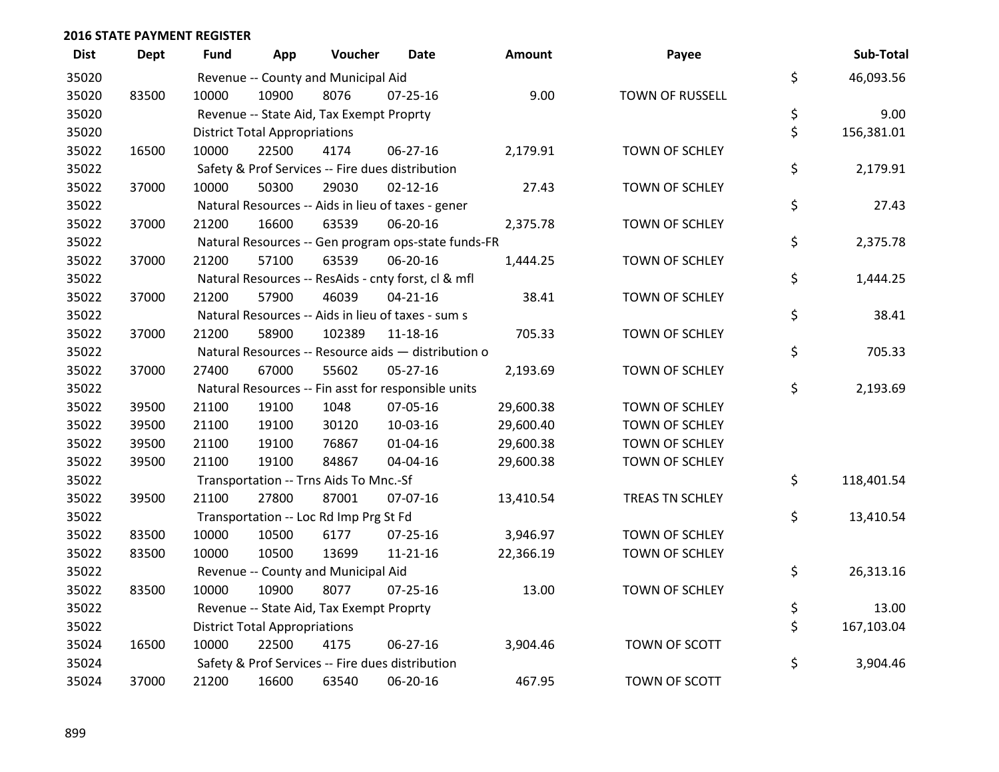| <b>Dist</b> | <b>Dept</b> | <b>Fund</b> | App                                  | Voucher                                  | <b>Date</b>                                         | Amount    | Payee                  | Sub-Total        |
|-------------|-------------|-------------|--------------------------------------|------------------------------------------|-----------------------------------------------------|-----------|------------------------|------------------|
| 35020       |             |             |                                      | Revenue -- County and Municipal Aid      |                                                     |           |                        | \$<br>46,093.56  |
| 35020       | 83500       | 10000       | 10900                                | 8076                                     | $07 - 25 - 16$                                      | 9.00      | <b>TOWN OF RUSSELL</b> |                  |
| 35020       |             |             |                                      | Revenue -- State Aid, Tax Exempt Proprty |                                                     |           |                        | \$<br>9.00       |
| 35020       |             |             | <b>District Total Appropriations</b> |                                          |                                                     |           |                        | \$<br>156,381.01 |
| 35022       | 16500       | 10000       | 22500                                | 4174                                     | 06-27-16                                            | 2,179.91  | TOWN OF SCHLEY         |                  |
| 35022       |             |             |                                      |                                          | Safety & Prof Services -- Fire dues distribution    |           |                        | \$<br>2,179.91   |
| 35022       | 37000       | 10000       | 50300                                | 29030                                    | $02 - 12 - 16$                                      | 27.43     | TOWN OF SCHLEY         |                  |
| 35022       |             |             |                                      |                                          | Natural Resources -- Aids in lieu of taxes - gener  |           |                        | \$<br>27.43      |
| 35022       | 37000       | 21200       | 16600                                | 63539                                    | 06-20-16                                            | 2,375.78  | <b>TOWN OF SCHLEY</b>  |                  |
| 35022       |             |             |                                      |                                          | Natural Resources -- Gen program ops-state funds-FR |           |                        | \$<br>2,375.78   |
| 35022       | 37000       | 21200       | 57100                                | 63539                                    | 06-20-16                                            | 1,444.25  | TOWN OF SCHLEY         |                  |
| 35022       |             |             |                                      |                                          | Natural Resources -- ResAids - cnty forst, cl & mfl |           |                        | \$<br>1,444.25   |
| 35022       | 37000       | 21200       | 57900                                | 46039                                    | $04 - 21 - 16$                                      | 38.41     | TOWN OF SCHLEY         |                  |
| 35022       |             |             |                                      |                                          | Natural Resources -- Aids in lieu of taxes - sum s  |           |                        | \$<br>38.41      |
| 35022       | 37000       | 21200       | 58900                                | 102389                                   | 11-18-16                                            | 705.33    | TOWN OF SCHLEY         |                  |
| 35022       |             |             |                                      |                                          | Natural Resources -- Resource aids - distribution o |           |                        | \$<br>705.33     |
| 35022       | 37000       | 27400       | 67000                                | 55602                                    | 05-27-16                                            | 2,193.69  | TOWN OF SCHLEY         |                  |
| 35022       |             |             |                                      |                                          | Natural Resources -- Fin asst for responsible units |           |                        | \$<br>2,193.69   |
| 35022       | 39500       | 21100       | 19100                                | 1048                                     | 07-05-16                                            | 29,600.38 | TOWN OF SCHLEY         |                  |
| 35022       | 39500       | 21100       | 19100                                | 30120                                    | 10-03-16                                            | 29,600.40 | TOWN OF SCHLEY         |                  |
| 35022       | 39500       | 21100       | 19100                                | 76867                                    | $01 - 04 - 16$                                      | 29,600.38 | TOWN OF SCHLEY         |                  |
| 35022       | 39500       | 21100       | 19100                                | 84867                                    | 04-04-16                                            | 29,600.38 | TOWN OF SCHLEY         |                  |
| 35022       |             |             |                                      | Transportation -- Trns Aids To Mnc.-Sf   |                                                     |           |                        | \$<br>118,401.54 |
| 35022       | 39500       | 21100       | 27800                                | 87001                                    | 07-07-16                                            | 13,410.54 | TREAS TN SCHLEY        |                  |
| 35022       |             |             |                                      | Transportation -- Loc Rd Imp Prg St Fd   |                                                     |           |                        | \$<br>13,410.54  |
| 35022       | 83500       | 10000       | 10500                                | 6177                                     | $07 - 25 - 16$                                      | 3,946.97  | TOWN OF SCHLEY         |                  |
| 35022       | 83500       | 10000       | 10500                                | 13699                                    | $11 - 21 - 16$                                      | 22,366.19 | TOWN OF SCHLEY         |                  |
| 35022       |             |             |                                      | Revenue -- County and Municipal Aid      |                                                     |           |                        | \$<br>26,313.16  |
| 35022       | 83500       | 10000       | 10900                                | 8077                                     | $07 - 25 - 16$                                      | 13.00     | <b>TOWN OF SCHLEY</b>  |                  |
| 35022       |             |             |                                      | Revenue -- State Aid, Tax Exempt Proprty |                                                     |           |                        | \$<br>13.00      |
| 35022       |             |             | <b>District Total Appropriations</b> |                                          |                                                     |           |                        | \$<br>167,103.04 |
| 35024       | 16500       | 10000       | 22500                                | 4175                                     | 06-27-16                                            | 3,904.46  | TOWN OF SCOTT          |                  |
| 35024       |             |             |                                      |                                          | Safety & Prof Services -- Fire dues distribution    |           |                        | \$<br>3,904.46   |
| 35024       | 37000       | 21200       | 16600                                | 63540                                    | 06-20-16                                            | 467.95    | TOWN OF SCOTT          |                  |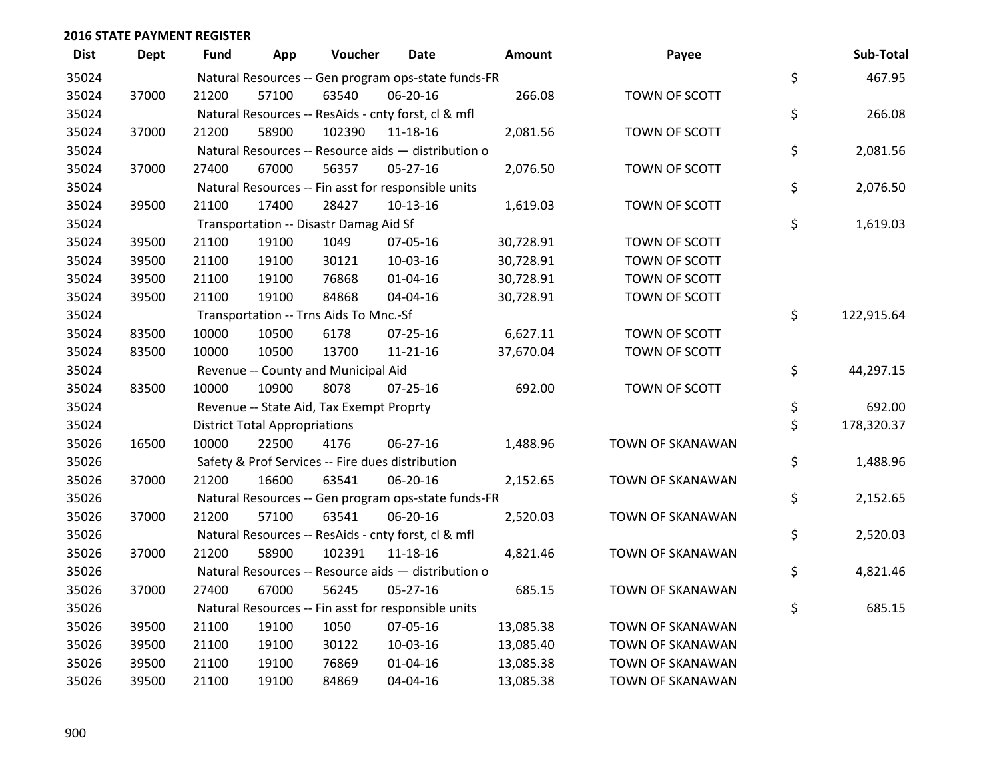| <b>Dist</b> | <b>Dept</b> | <b>Fund</b> | App                                  | Voucher                                             | <b>Date</b>    | Amount    | Payee            | Sub-Total        |
|-------------|-------------|-------------|--------------------------------------|-----------------------------------------------------|----------------|-----------|------------------|------------------|
| 35024       |             |             |                                      | Natural Resources -- Gen program ops-state funds-FR |                |           |                  | \$<br>467.95     |
| 35024       | 37000       | 21200       | 57100                                | 63540                                               | 06-20-16       | 266.08    | TOWN OF SCOTT    |                  |
| 35024       |             |             |                                      | Natural Resources -- ResAids - cnty forst, cl & mfl |                |           |                  | \$<br>266.08     |
| 35024       | 37000       | 21200       | 58900                                | 102390                                              | $11 - 18 - 16$ | 2,081.56  | TOWN OF SCOTT    |                  |
| 35024       |             |             |                                      | Natural Resources -- Resource aids - distribution o |                |           |                  | \$<br>2,081.56   |
| 35024       | 37000       | 27400       | 67000                                | 56357                                               | 05-27-16       | 2,076.50  | TOWN OF SCOTT    |                  |
| 35024       |             |             |                                      | Natural Resources -- Fin asst for responsible units |                |           |                  | \$<br>2,076.50   |
| 35024       | 39500       | 21100       | 17400                                | 28427                                               | $10-13-16$     | 1,619.03  | TOWN OF SCOTT    |                  |
| 35024       |             |             |                                      | Transportation -- Disastr Damag Aid Sf              |                |           |                  | \$<br>1,619.03   |
| 35024       | 39500       | 21100       | 19100                                | 1049                                                | 07-05-16       | 30,728.91 | TOWN OF SCOTT    |                  |
| 35024       | 39500       | 21100       | 19100                                | 30121                                               | 10-03-16       | 30,728.91 | TOWN OF SCOTT    |                  |
| 35024       | 39500       | 21100       | 19100                                | 76868                                               | $01 - 04 - 16$ | 30,728.91 | TOWN OF SCOTT    |                  |
| 35024       | 39500       | 21100       | 19100                                | 84868                                               | 04-04-16       | 30,728.91 | TOWN OF SCOTT    |                  |
| 35024       |             |             |                                      | Transportation -- Trns Aids To Mnc.-Sf              |                |           |                  | \$<br>122,915.64 |
| 35024       | 83500       | 10000       | 10500                                | 6178                                                | $07 - 25 - 16$ | 6,627.11  | TOWN OF SCOTT    |                  |
| 35024       | 83500       | 10000       | 10500                                | 13700                                               | $11 - 21 - 16$ | 37,670.04 | TOWN OF SCOTT    |                  |
| 35024       |             |             |                                      | Revenue -- County and Municipal Aid                 |                |           |                  | \$<br>44,297.15  |
| 35024       | 83500       | 10000       | 10900                                | 8078                                                | $07 - 25 - 16$ | 692.00    | TOWN OF SCOTT    |                  |
| 35024       |             |             |                                      | Revenue -- State Aid, Tax Exempt Proprty            |                |           |                  | \$<br>692.00     |
| 35024       |             |             | <b>District Total Appropriations</b> |                                                     |                |           |                  | \$<br>178,320.37 |
| 35026       | 16500       | 10000       | 22500                                | 4176                                                | 06-27-16       | 1,488.96  | TOWN OF SKANAWAN |                  |
| 35026       |             |             |                                      | Safety & Prof Services -- Fire dues distribution    |                |           |                  | \$<br>1,488.96   |
| 35026       | 37000       | 21200       | 16600                                | 63541                                               | 06-20-16       | 2,152.65  | TOWN OF SKANAWAN |                  |
| 35026       |             |             |                                      | Natural Resources -- Gen program ops-state funds-FR |                |           |                  | \$<br>2,152.65   |
| 35026       | 37000       | 21200       | 57100                                | 63541                                               | 06-20-16       | 2,520.03  | TOWN OF SKANAWAN |                  |
| 35026       |             |             |                                      | Natural Resources -- ResAids - cnty forst, cl & mfl |                |           |                  | \$<br>2,520.03   |
| 35026       | 37000       | 21200       | 58900                                | 102391                                              | $11 - 18 - 16$ | 4,821.46  | TOWN OF SKANAWAN |                  |
| 35026       |             |             |                                      | Natural Resources -- Resource aids - distribution o |                |           |                  | \$<br>4,821.46   |
| 35026       | 37000       | 27400       | 67000                                | 56245                                               | 05-27-16       | 685.15    | TOWN OF SKANAWAN |                  |
| 35026       |             |             |                                      | Natural Resources -- Fin asst for responsible units |                |           |                  | \$<br>685.15     |
| 35026       | 39500       | 21100       | 19100                                | 1050                                                | 07-05-16       | 13,085.38 | TOWN OF SKANAWAN |                  |
| 35026       | 39500       | 21100       | 19100                                | 30122                                               | 10-03-16       | 13,085.40 | TOWN OF SKANAWAN |                  |
| 35026       | 39500       | 21100       | 19100                                | 76869                                               | $01 - 04 - 16$ | 13,085.38 | TOWN OF SKANAWAN |                  |
| 35026       | 39500       | 21100       | 19100                                | 84869                                               | 04-04-16       | 13,085.38 | TOWN OF SKANAWAN |                  |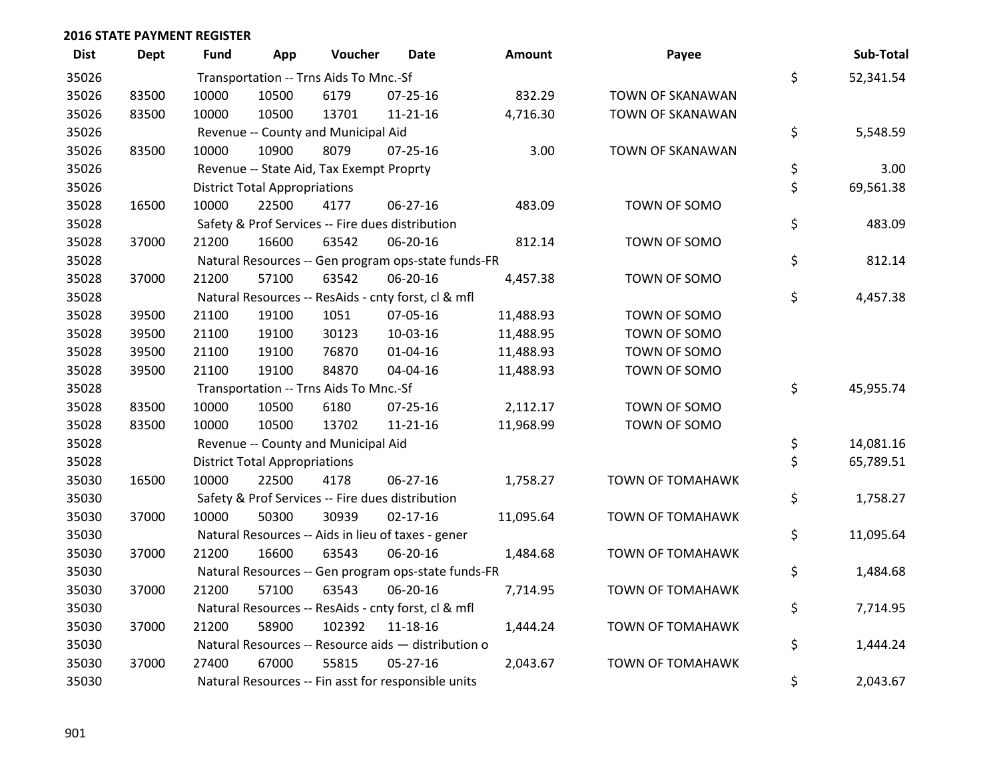| <b>Dist</b> | <b>Dept</b> | <b>Fund</b> | App                                  | Voucher                                          | <b>Date</b>                                         | Amount    | Payee                   | Sub-Total       |
|-------------|-------------|-------------|--------------------------------------|--------------------------------------------------|-----------------------------------------------------|-----------|-------------------------|-----------------|
| 35026       |             |             |                                      | Transportation -- Trns Aids To Mnc.-Sf           |                                                     |           |                         | \$<br>52,341.54 |
| 35026       | 83500       | 10000       | 10500                                | 6179                                             | $07 - 25 - 16$                                      | 832.29    | TOWN OF SKANAWAN        |                 |
| 35026       | 83500       | 10000       | 10500                                | 13701                                            | $11 - 21 - 16$                                      | 4,716.30  | TOWN OF SKANAWAN        |                 |
| 35026       |             |             |                                      | Revenue -- County and Municipal Aid              |                                                     |           |                         | \$<br>5,548.59  |
| 35026       | 83500       | 10000       | 10900                                | 8079                                             | $07 - 25 - 16$                                      | 3.00      | <b>TOWN OF SKANAWAN</b> |                 |
| 35026       |             |             |                                      | Revenue -- State Aid, Tax Exempt Proprty         |                                                     |           |                         | \$<br>3.00      |
| 35026       |             |             | <b>District Total Appropriations</b> |                                                  |                                                     |           |                         | \$<br>69,561.38 |
| 35028       | 16500       | 10000       | 22500                                | 4177                                             | 06-27-16                                            | 483.09    | TOWN OF SOMO            |                 |
| 35028       |             |             |                                      | Safety & Prof Services -- Fire dues distribution |                                                     |           |                         | \$<br>483.09    |
| 35028       | 37000       | 21200       | 16600                                | 63542                                            | 06-20-16                                            | 812.14    | TOWN OF SOMO            |                 |
| 35028       |             |             |                                      |                                                  | Natural Resources -- Gen program ops-state funds-FR |           |                         | \$<br>812.14    |
| 35028       | 37000       | 21200       | 57100                                | 63542                                            | 06-20-16                                            | 4,457.38  | TOWN OF SOMO            |                 |
| 35028       |             |             |                                      |                                                  | Natural Resources -- ResAids - cnty forst, cl & mfl |           |                         | \$<br>4,457.38  |
| 35028       | 39500       | 21100       | 19100                                | 1051                                             | 07-05-16                                            | 11,488.93 | TOWN OF SOMO            |                 |
| 35028       | 39500       | 21100       | 19100                                | 30123                                            | 10-03-16                                            | 11,488.95 | TOWN OF SOMO            |                 |
| 35028       | 39500       | 21100       | 19100                                | 76870                                            | $01 - 04 - 16$                                      | 11,488.93 | TOWN OF SOMO            |                 |
| 35028       | 39500       | 21100       | 19100                                | 84870                                            | 04-04-16                                            | 11,488.93 | TOWN OF SOMO            |                 |
| 35028       |             |             |                                      | Transportation -- Trns Aids To Mnc.-Sf           |                                                     |           |                         | \$<br>45,955.74 |
| 35028       | 83500       | 10000       | 10500                                | 6180                                             | 07-25-16                                            | 2,112.17  | TOWN OF SOMO            |                 |
| 35028       | 83500       | 10000       | 10500                                | 13702                                            | $11 - 21 - 16$                                      | 11,968.99 | TOWN OF SOMO            |                 |
| 35028       |             |             |                                      | Revenue -- County and Municipal Aid              |                                                     |           |                         | \$<br>14,081.16 |
| 35028       |             |             | <b>District Total Appropriations</b> |                                                  |                                                     |           |                         | \$<br>65,789.51 |
| 35030       | 16500       | 10000       | 22500                                | 4178                                             | 06-27-16                                            | 1,758.27  | <b>TOWN OF TOMAHAWK</b> |                 |
| 35030       |             |             |                                      | Safety & Prof Services -- Fire dues distribution |                                                     |           |                         | \$<br>1,758.27  |
| 35030       | 37000       | 10000       | 50300                                | 30939                                            | $02 - 17 - 16$                                      | 11,095.64 | TOWN OF TOMAHAWK        |                 |
| 35030       |             |             |                                      |                                                  | Natural Resources -- Aids in lieu of taxes - gener  |           |                         | \$<br>11,095.64 |
| 35030       | 37000       | 21200       | 16600                                | 63543                                            | 06-20-16                                            | 1,484.68  | <b>TOWN OF TOMAHAWK</b> |                 |
| 35030       |             |             |                                      |                                                  | Natural Resources -- Gen program ops-state funds-FR |           |                         | \$<br>1,484.68  |
| 35030       | 37000       | 21200       | 57100                                | 63543                                            | 06-20-16                                            | 7,714.95  | <b>TOWN OF TOMAHAWK</b> |                 |
| 35030       |             |             |                                      |                                                  | Natural Resources -- ResAids - cnty forst, cl & mfl |           |                         | \$<br>7,714.95  |
| 35030       | 37000       | 21200       | 58900                                | 102392                                           | 11-18-16                                            | 1,444.24  | <b>TOWN OF TOMAHAWK</b> |                 |
| 35030       |             |             |                                      |                                                  | Natural Resources -- Resource aids - distribution o |           |                         | \$<br>1,444.24  |
| 35030       | 37000       | 27400       | 67000                                | 55815                                            | $05 - 27 - 16$                                      | 2,043.67  | <b>TOWN OF TOMAHAWK</b> |                 |
| 35030       |             |             |                                      |                                                  | Natural Resources -- Fin asst for responsible units |           |                         | \$<br>2,043.67  |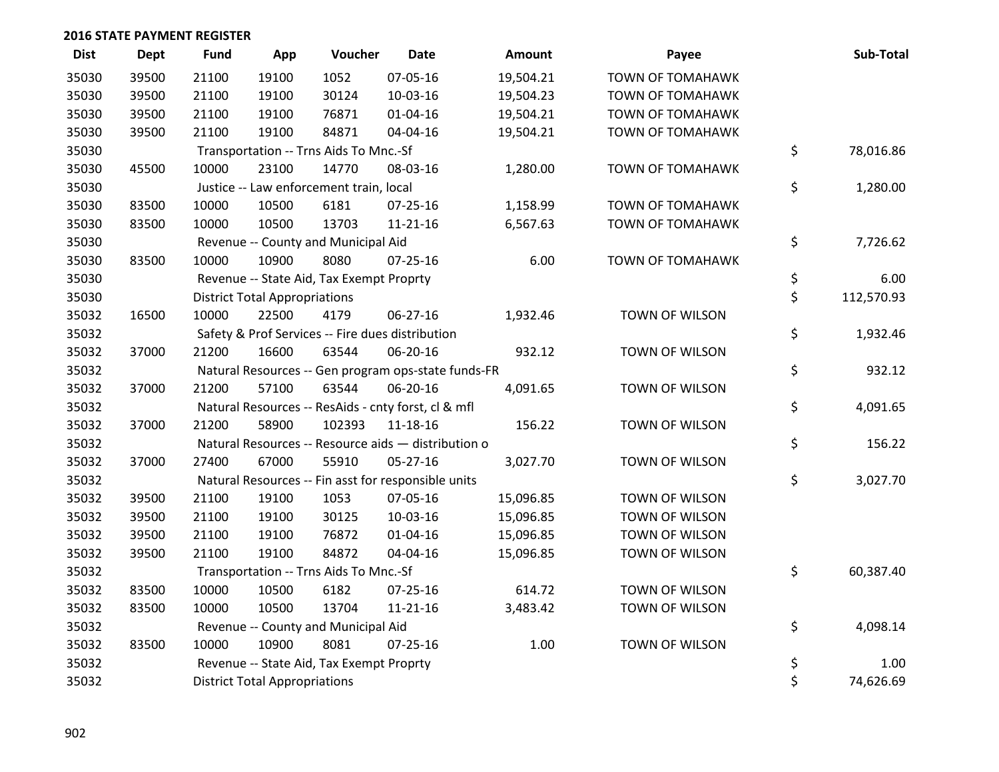| <b>Dist</b> | <b>Dept</b> | <b>Fund</b> | App                                  | Voucher                                             | <b>Date</b>    | Amount    | Payee                   | Sub-Total        |
|-------------|-------------|-------------|--------------------------------------|-----------------------------------------------------|----------------|-----------|-------------------------|------------------|
| 35030       | 39500       | 21100       | 19100                                | 1052                                                | 07-05-16       | 19,504.21 | <b>TOWN OF TOMAHAWK</b> |                  |
| 35030       | 39500       | 21100       | 19100                                | 30124                                               | 10-03-16       | 19,504.23 | <b>TOWN OF TOMAHAWK</b> |                  |
| 35030       | 39500       | 21100       | 19100                                | 76871                                               | $01 - 04 - 16$ | 19,504.21 | <b>TOWN OF TOMAHAWK</b> |                  |
| 35030       | 39500       | 21100       | 19100                                | 84871                                               | 04-04-16       | 19,504.21 | <b>TOWN OF TOMAHAWK</b> |                  |
| 35030       |             |             |                                      | Transportation -- Trns Aids To Mnc.-Sf              |                |           |                         | \$<br>78,016.86  |
| 35030       | 45500       | 10000       | 23100                                | 14770                                               | 08-03-16       | 1,280.00  | <b>TOWN OF TOMAHAWK</b> |                  |
| 35030       |             |             |                                      | Justice -- Law enforcement train, local             |                |           |                         | \$<br>1,280.00   |
| 35030       | 83500       | 10000       | 10500                                | 6181                                                | $07 - 25 - 16$ | 1,158.99  | <b>TOWN OF TOMAHAWK</b> |                  |
| 35030       | 83500       | 10000       | 10500                                | 13703                                               | $11 - 21 - 16$ | 6,567.63  | <b>TOWN OF TOMAHAWK</b> |                  |
| 35030       |             |             |                                      | Revenue -- County and Municipal Aid                 |                |           |                         | \$<br>7,726.62   |
| 35030       | 83500       | 10000       | 10900                                | 8080                                                | $07 - 25 - 16$ | 6.00      | <b>TOWN OF TOMAHAWK</b> |                  |
| 35030       |             |             |                                      | Revenue -- State Aid, Tax Exempt Proprty            |                |           |                         | \$<br>6.00       |
| 35030       |             |             | <b>District Total Appropriations</b> |                                                     |                |           |                         | \$<br>112,570.93 |
| 35032       | 16500       | 10000       | 22500                                | 4179                                                | 06-27-16       | 1,932.46  | TOWN OF WILSON          |                  |
| 35032       |             |             |                                      | Safety & Prof Services -- Fire dues distribution    |                |           |                         | \$<br>1,932.46   |
| 35032       | 37000       | 21200       | 16600                                | 63544                                               | 06-20-16       | 932.12    | <b>TOWN OF WILSON</b>   |                  |
| 35032       |             |             |                                      | Natural Resources -- Gen program ops-state funds-FR |                |           |                         | \$<br>932.12     |
| 35032       | 37000       | 21200       | 57100                                | 63544                                               | 06-20-16       | 4,091.65  | TOWN OF WILSON          |                  |
| 35032       |             |             |                                      | Natural Resources -- ResAids - cnty forst, cl & mfl |                |           |                         | \$<br>4,091.65   |
| 35032       | 37000       | 21200       | 58900                                | 102393                                              | 11-18-16       | 156.22    | TOWN OF WILSON          |                  |
| 35032       |             |             |                                      | Natural Resources -- Resource aids - distribution o |                |           |                         | \$<br>156.22     |
| 35032       | 37000       | 27400       | 67000                                | 55910                                               | 05-27-16       | 3,027.70  | TOWN OF WILSON          |                  |
| 35032       |             |             |                                      | Natural Resources -- Fin asst for responsible units |                |           |                         | \$<br>3,027.70   |
| 35032       | 39500       | 21100       | 19100                                | 1053                                                | 07-05-16       | 15,096.85 | TOWN OF WILSON          |                  |
| 35032       | 39500       | 21100       | 19100                                | 30125                                               | 10-03-16       | 15,096.85 | TOWN OF WILSON          |                  |
| 35032       | 39500       | 21100       | 19100                                | 76872                                               | $01 - 04 - 16$ | 15,096.85 | TOWN OF WILSON          |                  |
| 35032       | 39500       | 21100       | 19100                                | 84872                                               | 04-04-16       | 15,096.85 | TOWN OF WILSON          |                  |
| 35032       |             |             |                                      | Transportation -- Trns Aids To Mnc.-Sf              |                |           |                         | \$<br>60,387.40  |
| 35032       | 83500       | 10000       | 10500                                | 6182                                                | 07-25-16       | 614.72    | TOWN OF WILSON          |                  |
| 35032       | 83500       | 10000       | 10500                                | 13704                                               | $11 - 21 - 16$ | 3,483.42  | TOWN OF WILSON          |                  |
| 35032       |             |             |                                      | Revenue -- County and Municipal Aid                 |                |           |                         | \$<br>4,098.14   |
| 35032       | 83500       | 10000       | 10900                                | 8081                                                | $07 - 25 - 16$ | 1.00      | TOWN OF WILSON          |                  |
| 35032       |             |             |                                      | Revenue -- State Aid, Tax Exempt Proprty            |                |           |                         | \$<br>1.00       |
| 35032       |             |             | <b>District Total Appropriations</b> |                                                     |                |           |                         | \$<br>74,626.69  |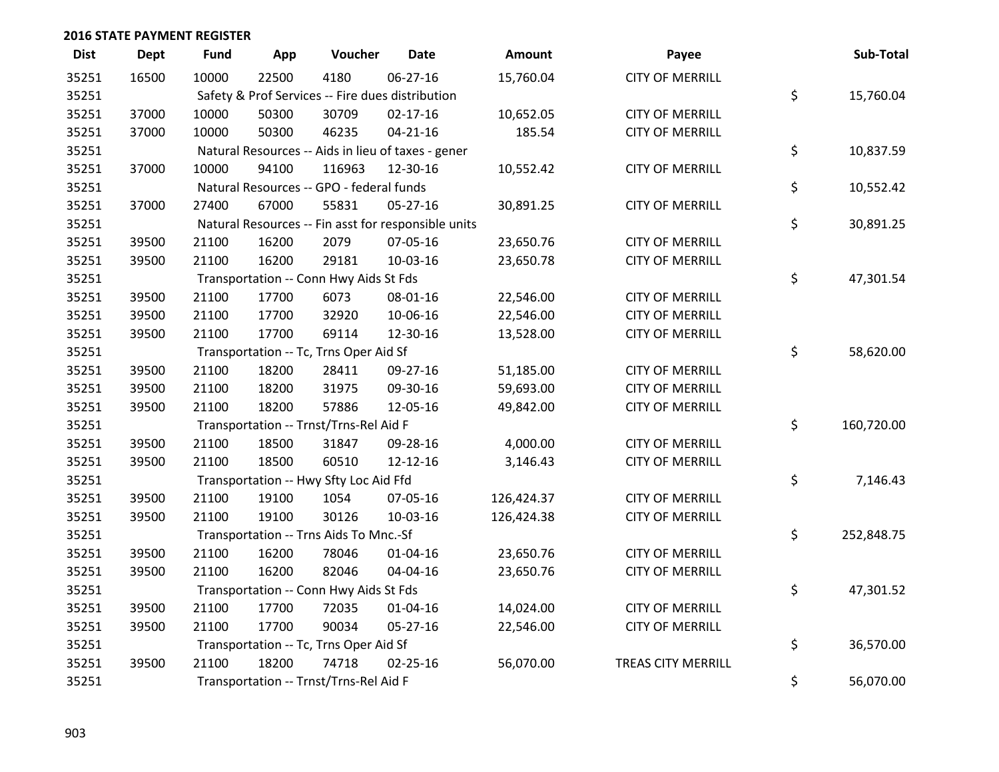| <b>Dist</b> | <b>Dept</b> | <b>Fund</b> | App   | Voucher                                             | <b>Date</b>    | <b>Amount</b> | Payee                     | Sub-Total        |
|-------------|-------------|-------------|-------|-----------------------------------------------------|----------------|---------------|---------------------------|------------------|
| 35251       | 16500       | 10000       | 22500 | 4180                                                | 06-27-16       | 15,760.04     | <b>CITY OF MERRILL</b>    |                  |
| 35251       |             |             |       | Safety & Prof Services -- Fire dues distribution    |                |               |                           | \$<br>15,760.04  |
| 35251       | 37000       | 10000       | 50300 | 30709                                               | $02 - 17 - 16$ | 10,652.05     | <b>CITY OF MERRILL</b>    |                  |
| 35251       | 37000       | 10000       | 50300 | 46235                                               | $04 - 21 - 16$ | 185.54        | <b>CITY OF MERRILL</b>    |                  |
| 35251       |             |             |       | Natural Resources -- Aids in lieu of taxes - gener  |                |               |                           | \$<br>10,837.59  |
| 35251       | 37000       | 10000       | 94100 | 116963                                              | 12-30-16       | 10,552.42     | <b>CITY OF MERRILL</b>    |                  |
| 35251       |             |             |       | Natural Resources -- GPO - federal funds            |                |               |                           | \$<br>10,552.42  |
| 35251       | 37000       | 27400       | 67000 | 55831                                               | $05 - 27 - 16$ | 30,891.25     | <b>CITY OF MERRILL</b>    |                  |
| 35251       |             |             |       | Natural Resources -- Fin asst for responsible units |                |               |                           | \$<br>30,891.25  |
| 35251       | 39500       | 21100       | 16200 | 2079                                                | 07-05-16       | 23,650.76     | <b>CITY OF MERRILL</b>    |                  |
| 35251       | 39500       | 21100       | 16200 | 29181                                               | 10-03-16       | 23,650.78     | <b>CITY OF MERRILL</b>    |                  |
| 35251       |             |             |       | Transportation -- Conn Hwy Aids St Fds              |                |               |                           | \$<br>47,301.54  |
| 35251       | 39500       | 21100       | 17700 | 6073                                                | 08-01-16       | 22,546.00     | <b>CITY OF MERRILL</b>    |                  |
| 35251       | 39500       | 21100       | 17700 | 32920                                               | 10-06-16       | 22,546.00     | <b>CITY OF MERRILL</b>    |                  |
| 35251       | 39500       | 21100       | 17700 | 69114                                               | 12-30-16       | 13,528.00     | <b>CITY OF MERRILL</b>    |                  |
| 35251       |             |             |       | Transportation -- Tc, Trns Oper Aid Sf              |                |               |                           | \$<br>58,620.00  |
| 35251       | 39500       | 21100       | 18200 | 28411                                               | 09-27-16       | 51,185.00     | <b>CITY OF MERRILL</b>    |                  |
| 35251       | 39500       | 21100       | 18200 | 31975                                               | 09-30-16       | 59,693.00     | <b>CITY OF MERRILL</b>    |                  |
| 35251       | 39500       | 21100       | 18200 | 57886                                               | 12-05-16       | 49,842.00     | <b>CITY OF MERRILL</b>    |                  |
| 35251       |             |             |       | Transportation -- Trnst/Trns-Rel Aid F              |                |               |                           | \$<br>160,720.00 |
| 35251       | 39500       | 21100       | 18500 | 31847                                               | 09-28-16       | 4,000.00      | <b>CITY OF MERRILL</b>    |                  |
| 35251       | 39500       | 21100       | 18500 | 60510                                               | 12-12-16       | 3,146.43      | <b>CITY OF MERRILL</b>    |                  |
| 35251       |             |             |       | Transportation -- Hwy Sfty Loc Aid Ffd              |                |               |                           | \$<br>7,146.43   |
| 35251       | 39500       | 21100       | 19100 | 1054                                                | 07-05-16       | 126,424.37    | <b>CITY OF MERRILL</b>    |                  |
| 35251       | 39500       | 21100       | 19100 | 30126                                               | 10-03-16       | 126,424.38    | <b>CITY OF MERRILL</b>    |                  |
| 35251       |             |             |       | Transportation -- Trns Aids To Mnc.-Sf              |                |               |                           | \$<br>252,848.75 |
| 35251       | 39500       | 21100       | 16200 | 78046                                               | $01 - 04 - 16$ | 23,650.76     | <b>CITY OF MERRILL</b>    |                  |
| 35251       | 39500       | 21100       | 16200 | 82046                                               | 04-04-16       | 23,650.76     | <b>CITY OF MERRILL</b>    |                  |
| 35251       |             |             |       | Transportation -- Conn Hwy Aids St Fds              |                |               |                           | \$<br>47,301.52  |
| 35251       | 39500       | 21100       | 17700 | 72035                                               | 01-04-16       | 14,024.00     | <b>CITY OF MERRILL</b>    |                  |
| 35251       | 39500       | 21100       | 17700 | 90034                                               | 05-27-16       | 22,546.00     | <b>CITY OF MERRILL</b>    |                  |
| 35251       |             |             |       | Transportation -- Tc, Trns Oper Aid Sf              |                |               |                           | \$<br>36,570.00  |
| 35251       | 39500       | 21100       | 18200 | 74718                                               | $02 - 25 - 16$ | 56,070.00     | <b>TREAS CITY MERRILL</b> |                  |
| 35251       |             |             |       | Transportation -- Trnst/Trns-Rel Aid F              |                |               |                           | \$<br>56,070.00  |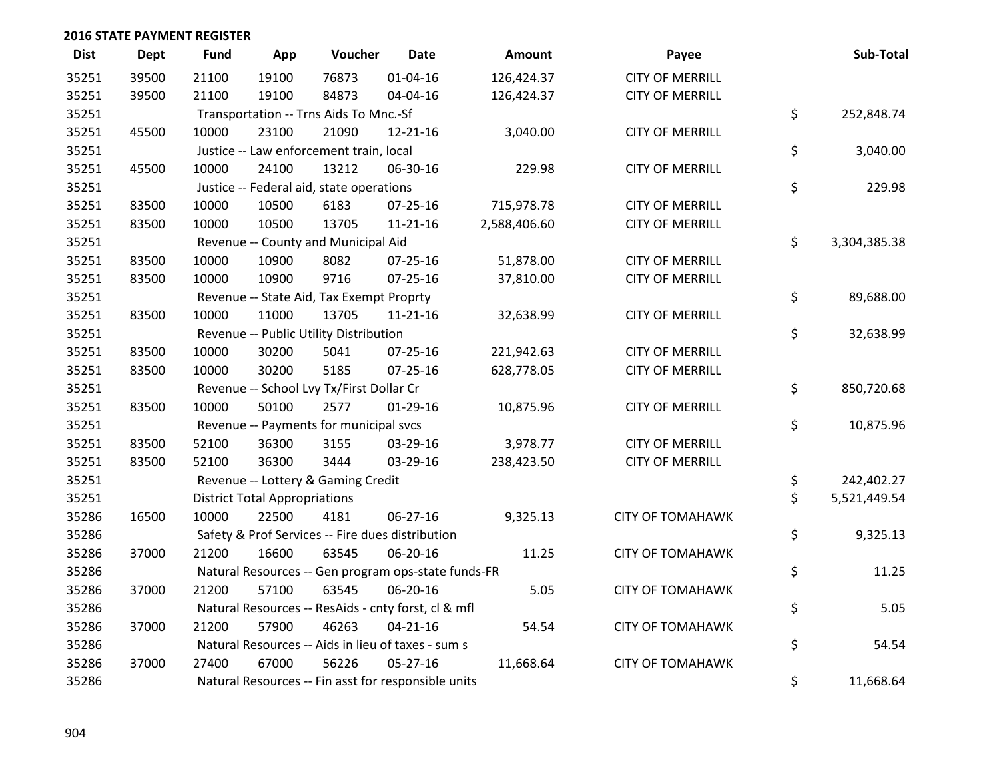| <b>Dist</b> | <b>Dept</b> | Fund  | App                                  | Voucher                                  | <b>Date</b>                                         | Amount       | Payee                   | Sub-Total          |
|-------------|-------------|-------|--------------------------------------|------------------------------------------|-----------------------------------------------------|--------------|-------------------------|--------------------|
| 35251       | 39500       | 21100 | 19100                                | 76873                                    | $01 - 04 - 16$                                      | 126,424.37   | <b>CITY OF MERRILL</b>  |                    |
| 35251       | 39500       | 21100 | 19100                                | 84873                                    | 04-04-16                                            | 126,424.37   | <b>CITY OF MERRILL</b>  |                    |
| 35251       |             |       |                                      | Transportation -- Trns Aids To Mnc.-Sf   |                                                     |              |                         | \$<br>252,848.74   |
| 35251       | 45500       | 10000 | 23100                                | 21090                                    | 12-21-16                                            | 3,040.00     | <b>CITY OF MERRILL</b>  |                    |
| 35251       |             |       |                                      | Justice -- Law enforcement train, local  |                                                     |              |                         | \$<br>3,040.00     |
| 35251       | 45500       | 10000 | 24100                                | 13212                                    | 06-30-16                                            | 229.98       | <b>CITY OF MERRILL</b>  |                    |
| 35251       |             |       |                                      | Justice -- Federal aid, state operations |                                                     |              |                         | \$<br>229.98       |
| 35251       | 83500       | 10000 | 10500                                | 6183                                     | $07 - 25 - 16$                                      | 715,978.78   | <b>CITY OF MERRILL</b>  |                    |
| 35251       | 83500       | 10000 | 10500                                | 13705                                    | 11-21-16                                            | 2,588,406.60 | <b>CITY OF MERRILL</b>  |                    |
| 35251       |             |       |                                      | Revenue -- County and Municipal Aid      |                                                     |              |                         | \$<br>3,304,385.38 |
| 35251       | 83500       | 10000 | 10900                                | 8082                                     | 07-25-16                                            | 51,878.00    | <b>CITY OF MERRILL</b>  |                    |
| 35251       | 83500       | 10000 | 10900                                | 9716                                     | 07-25-16                                            | 37,810.00    | <b>CITY OF MERRILL</b>  |                    |
| 35251       |             |       |                                      | Revenue -- State Aid, Tax Exempt Proprty |                                                     |              |                         | \$<br>89,688.00    |
| 35251       | 83500       | 10000 | 11000                                | 13705                                    | $11 - 21 - 16$                                      | 32,638.99    | <b>CITY OF MERRILL</b>  |                    |
| 35251       |             |       |                                      | Revenue -- Public Utility Distribution   |                                                     |              |                         | \$<br>32,638.99    |
| 35251       | 83500       | 10000 | 30200                                | 5041                                     | 07-25-16                                            | 221,942.63   | <b>CITY OF MERRILL</b>  |                    |
| 35251       | 83500       | 10000 | 30200                                | 5185                                     | $07 - 25 - 16$                                      | 628,778.05   | <b>CITY OF MERRILL</b>  |                    |
| 35251       |             |       |                                      | Revenue -- School Lvy Tx/First Dollar Cr |                                                     |              |                         | \$<br>850,720.68   |
| 35251       | 83500       | 10000 | 50100                                | 2577                                     | $01-29-16$                                          | 10,875.96    | <b>CITY OF MERRILL</b>  |                    |
| 35251       |             |       |                                      | Revenue -- Payments for municipal svcs   |                                                     |              |                         | \$<br>10,875.96    |
| 35251       | 83500       | 52100 | 36300                                | 3155                                     | 03-29-16                                            | 3,978.77     | <b>CITY OF MERRILL</b>  |                    |
| 35251       | 83500       | 52100 | 36300                                | 3444                                     | 03-29-16                                            | 238,423.50   | <b>CITY OF MERRILL</b>  |                    |
| 35251       |             |       |                                      | Revenue -- Lottery & Gaming Credit       |                                                     |              |                         | \$<br>242,402.27   |
| 35251       |             |       | <b>District Total Appropriations</b> |                                          |                                                     |              |                         | \$<br>5,521,449.54 |
| 35286       | 16500       | 10000 | 22500                                | 4181                                     | 06-27-16                                            | 9,325.13     | <b>CITY OF TOMAHAWK</b> |                    |
| 35286       |             |       |                                      |                                          | Safety & Prof Services -- Fire dues distribution    |              |                         | \$<br>9,325.13     |
| 35286       | 37000       | 21200 | 16600                                | 63545                                    | 06-20-16                                            | 11.25        | <b>CITY OF TOMAHAWK</b> |                    |
| 35286       |             |       |                                      |                                          | Natural Resources -- Gen program ops-state funds-FR |              |                         | \$<br>11.25        |
| 35286       | 37000       | 21200 | 57100                                | 63545                                    | 06-20-16                                            | 5.05         | <b>CITY OF TOMAHAWK</b> |                    |
| 35286       |             |       |                                      |                                          | Natural Resources -- ResAids - cnty forst, cl & mfl |              |                         | \$<br>5.05         |
| 35286       | 37000       | 21200 | 57900                                | 46263                                    | $04 - 21 - 16$                                      | 54.54        | <b>CITY OF TOMAHAWK</b> |                    |
| 35286       |             |       |                                      |                                          | Natural Resources -- Aids in lieu of taxes - sum s  |              |                         | \$<br>54.54        |
| 35286       | 37000       | 27400 | 67000                                | 56226                                    | 05-27-16                                            | 11,668.64    | <b>CITY OF TOMAHAWK</b> |                    |
| 35286       |             |       |                                      |                                          | Natural Resources -- Fin asst for responsible units |              |                         | \$<br>11,668.64    |